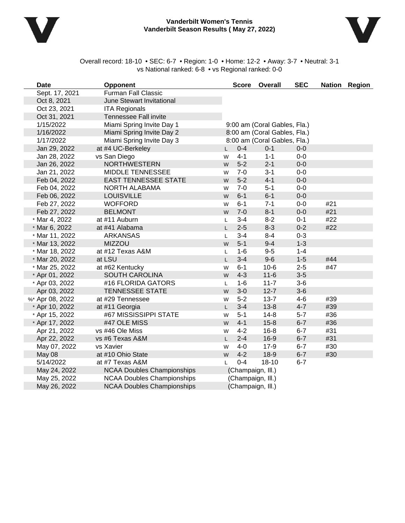

#### **Vanderbilt Women's Tennis Vanderbilt Season Results ( May 27, 2022)**



Overall record: 18-10 • SEC: 6-7 • Region: 1-0 • Home: 12-2 • Away: 3-7 • Neutral: 3-1 vs National ranked: 6-8 • vs Regional ranked: 0-0

| <b>Date</b>     | <b>Opponent</b>                   |    |                   | Score Overall                | <b>SEC</b> |     | Nation Region |
|-----------------|-----------------------------------|----|-------------------|------------------------------|------------|-----|---------------|
| Sept. 17, 2021  | <b>Furman Fall Classic</b>        |    |                   |                              |            |     |               |
| Oct 8, 2021     | <b>June Stewart Invitational</b>  |    |                   |                              |            |     |               |
| Oct 23, 2021    | <b>ITA Regionals</b>              |    |                   |                              |            |     |               |
| Oct 31, 2021    | <b>Tennessee Fall invite</b>      |    |                   |                              |            |     |               |
| 1/15/2022       | Miami Spring Invite Day 1         |    |                   | 9:00 am (Coral Gables, Fla.) |            |     |               |
| 1/16/2022       | Miami Spring Invite Day 2         |    |                   | 8:00 am (Coral Gables, Fla.) |            |     |               |
| 1/17/2022       | Miami Spring Invite Day 3         |    |                   | 8:00 am (Coral Gables, Fla.) |            |     |               |
| Jan 29, 2022    | at #4 UC-Berkeley                 | L. | $0 - 4$           | $0 - 1$                      | $0-0$      |     |               |
| Jan 28, 2022    | vs San Diego                      | W  | $4 - 1$           | $1 - 1$                      | $0-0$      |     |               |
| Jan 26, 2022    | <b>NORTHWESTERN</b>               | W  | $5-2$             | $2 - 1$                      | $0-0$      |     |               |
| Jan 21, 2022    | MIDDLE TENNESSEE                  | W  | $7 - 0$           | $3 - 1$                      | $0-0$      |     |               |
| Feb 04, 2022    | <b>EAST TENNESSEE STATE</b>       | W  | $5-2$             | $4 - 1$                      | $0-0$      |     |               |
| Feb 04, 2022    | NORTH ALABAMA                     | W  | $7 - 0$           | $5 - 1$                      | $0-0$      |     |               |
| Feb 06, 2022    | <b>LOUISVILLE</b>                 | W  | $6 - 1$           | $6 - 1$                      | $0-0$      |     |               |
| Feb 27, 2022    | <b>WOFFORD</b>                    | W  | $6 - 1$           | $7 - 1$                      | $0-0$      | #21 |               |
| Feb 27, 2022    | <b>BELMONT</b>                    | W  | $7-0$             | $8 - 1$                      | $0-0$      | #21 |               |
| * Mar 4, 2022   | at #11 Auburn                     | Г  | $3 - 4$           | $8 - 2$                      | $0 - 1$    | #22 |               |
| * Mar 6, 2022   | at #41 Alabama                    | L. | $2 - 5$           | $8 - 3$                      | $0 - 2$    | #22 |               |
| * Mar 11, 2022  | <b>ARKANSAS</b>                   | L  | $3 - 4$           | $8 - 4$                      | $0 - 3$    |     |               |
| * Mar 13, 2022  | <b>MIZZOU</b>                     | W  | $5 - 1$           | $9-4$                        | $1 - 3$    |     |               |
| * Mar 18, 2022  | at #12 Texas A&M                  | L  | $1 - 6$           | $9 - 5$                      | $1 - 4$    |     |               |
| * Mar 20, 2022  | at LSU                            | L  | $3 - 4$           | $9-6$                        | $1 - 5$    | #44 |               |
| * Mar 25, 2022  | at #62 Kentucky                   | W  | $6 - 1$           | $10-6$                       | $2 - 5$    | #47 |               |
| * Apr 01, 2022  | <b>SOUTH CAROLINA</b>             | W  | $4 - 3$           | $11 - 6$                     | $3-5$      |     |               |
| * Apr 03, 2022  | #16 FLORIDA GATORS                | L  | $1 - 6$           | $11 - 7$                     | $3-6$      |     |               |
| Apr 03, 2022    | <b>TENNESSEE STATE</b>            | W  | $3-0$             | $12 - 7$                     | $3-6$      |     |               |
| %* Apr 08, 2022 | at #29 Tennessee                  | W  | $5-2$             | $13 - 7$                     | $4-6$      | #39 |               |
| * Apr 10, 2022  | at #11 Georgia                    | L. | $3 - 4$           | $13 - 8$                     | $4 - 7$    | #39 |               |
| * Apr 15, 2022  | #67 MISSISSIPPI STATE             | W  | $5 - 1$           | $14 - 8$                     | $5 - 7$    | #36 |               |
| * Apr 17, 2022  | #47 OLE MISS                      | W  | $4 - 1$           | $15 - 8$                     | $6 - 7$    | #36 |               |
| Apr 21, 2022    | vs #46 Ole Miss                   | W  | $4 - 2$           | $16 - 8$                     | $6 - 7$    | #31 |               |
| Apr 22, 2022    | vs #6 Texas A&M                   | L. | $2 - 4$           | $16-9$                       | $6 - 7$    | #31 |               |
| May 07, 2022    | vs Xavier                         | W  | $4 - 0$           | $17-9$                       | $6 - 7$    | #30 |               |
| May 08          | at #10 Ohio State                 | W  | $4 - 2$           | $18-9$                       | $6 - 7$    | #30 |               |
| 5/14/2022       | at #7 Texas A&M                   | L  | $0 - 4$           | $18 - 10$                    | $6 - 7$    |     |               |
| May 24, 2022    | <b>NCAA Doubles Championships</b> |    | (Champaign, Ill.) |                              |            |     |               |
| May 25, 2022    | <b>NCAA Doubles Championships</b> |    | (Champaign, Ill.) |                              |            |     |               |
| May 26, 2022    | <b>NCAA Doubles Championships</b> |    | (Champaign, Ill.) |                              |            |     |               |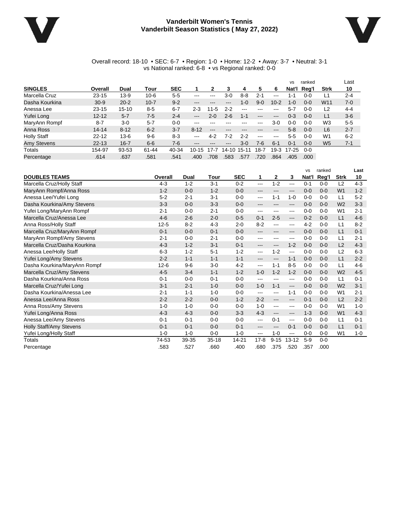#### **Vanderbilt Women's Tennis Vanderbilt Season Statistics ( May 27, 2022)**



#### Overall record: 18-10 • SEC: 6-7 • Region: 1-0 • Home: 12-2 • Away: 3-7 • Neutral: 3-1 vs National ranked: 6-8 • vs Regional ranked: 0-0

|                    |           |           |          |            |                            |                            |         |               |                   |                            | <b>VS</b> | ranked  |                 | ∟ast    |
|--------------------|-----------|-----------|----------|------------|----------------------------|----------------------------|---------|---------------|-------------------|----------------------------|-----------|---------|-----------------|---------|
| <b>SINGLES</b>     | Overall   | Dual      | Tour     | <b>SEC</b> |                            | 2                          | 3       | 4             | 5                 | 6                          | Nat'l     | Reg'l   | <b>Strk</b>     | 10      |
| Marcella Cruz      | $23 - 15$ | $13 - 9$  | $10 - 6$ | $5-5$      | $-- -$                     | ---                        | 3-0     | $8 - 8$       | $2 - 1$           | $\frac{1}{2}$              | 1-1       | $0-0$   | ∟1              | $2 - 4$ |
| Dasha Kourkina     | $30 - 9$  | $20 - 2$  | $10 - 7$ | $9 - 2$    | $\qquad \qquad - \qquad -$ | $\qquad \qquad - \qquad -$ | ---     | 1-0           | $9 - 0$           | $10 - 2$                   | $1 - 0$   | $0 - 0$ | W <sub>11</sub> | $7 - 0$ |
| Anessa Lee         | $23 - 15$ | $15 - 10$ | $8-5$    | $6 - 7$    | $2 - 3$                    | $11 - 5$                   | $2 - 2$ | $\frac{1}{2}$ | $- - -$           |                            | $5 - 7$   | $0 - 0$ | L2              | $4 - 4$ |
| Yufei Long         | $12 - 12$ | $5 - 7$   | $7-5$    | $2 - 4$    | $\qquad \qquad -$          | $2 - 0$                    | 2-6     | $1 - 1$       | $\qquad \qquad -$ | $\qquad \qquad -$          | $0 - 3$   | $0 - 0$ | L1              | $3-6$   |
| MaryAnn Rompf      | $8 - 7$   | $3-0$     | $5 - 7$  | $0 - 0$    | $-- -$                     |                            |         |               | $-- -$            | $3-0$                      | $0-0$     | $0 - 0$ | W <sub>3</sub>  | $5-5$   |
| Anna Ross          | $14 - 14$ | $8 - 12$  | $6 - 2$  | $3 - 7$    | $8 - 12$                   | $\qquad \qquad -$          | ---     |               | ---               | $\qquad \qquad - \qquad -$ | $5 - 8$   | $0 - 0$ | L <sub>6</sub>  | $2 - 7$ |
| <b>Holly Staff</b> | $22 - 12$ | $13 - 6$  | $9 - 6$  | $8-3$      | $--$                       | $4 - 2$                    | 7-2     | $2 - 2$       | $-$ – $-$         | $\frac{1}{2}$              | $5-5$     | $0 - 0$ | W1              | $6 - 2$ |
| <b>Amy Stevens</b> | $22 - 13$ | $16 - 7$  | $6 - 6$  | $7-6$      | $\qquad \qquad - \qquad -$ | ---                        | ---     | $3 - 0$       | 7-6               | $6 - 1$                    | $0 - 1$   | $0 - 0$ | W <sub>5</sub>  | $7 - 1$ |
| Totals             | 154-97    | 93-53     | 61-44    | 40-34      | $10-15$                    | 17-7                       | 14-10   | $15-1$<br>1   | 18-7              | $19-3$                     | $17 - 25$ | $0 - 0$ |                 |         |
| Percentage         | .614      | .637      | .581     | .541       | .400                       | .708                       | .583    | .577          | 720               | .864                       | .405      | .000.   |                 |         |

|                                |          |         |           |            |          |              |                        | <b>VS</b> | ranked  |                | Last    |
|--------------------------------|----------|---------|-----------|------------|----------|--------------|------------------------|-----------|---------|----------------|---------|
| <b>DOUBLES TEAMS</b>           | Overall  | Dual    | Tour      | <b>SEC</b> | 1        | $\mathbf{2}$ | 3                      | Nat'l     | Reg'l   | <b>Strk</b>    | 10      |
| Marcella Cruz/Holly Staff      | $4 - 3$  | $1 - 2$ | $3 - 1$   | $0 - 2$    | $---$    | $1 - 2$      | $\cdots$               | $0 - 1$   | $0 - 0$ | L2             | $4 - 3$ |
| MaryAnn Rompf/Anna Ross        | $1 - 2$  | $0 - 0$ | $1 - 2$   | $0 - 0$    | ---      | ---          | $\qquad \qquad \cdots$ | $0 - 0$   | $0 - 0$ | W <sub>1</sub> | $1 - 2$ |
| Anessa Lee/Yufei Long          | $5 - 2$  | $2 - 1$ | $3 - 1$   | $0 - 0$    | ---      | $1 - 1$      | $1 - 0$                | $0 - 0$   | $0 - 0$ | L1             | $5-2$   |
| Dasha Kourkina/Amy Stevens     | $3 - 3$  | $0 - 0$ | $3 - 3$   | $0 - 0$    | ---      | ---          | ---                    | $0 - 0$   | $0 - 0$ | W <sub>2</sub> | $3 - 3$ |
| Yufei Long/MaryAnn Rompf       | $2 - 1$  | $0 - 0$ | $2 - 1$   | $0 - 0$    | ---      | ---          | ---                    | $0 - 0$   | $0 - 0$ | W <sub>1</sub> | $2 - 1$ |
| Marcella Cruz/Anessa Lee       | $4 - 6$  | $2 - 6$ | $2 - 0$   | $0-5$      | $0 - 1$  | $2 - 5$      | $---$                  | $0 - 2$   | $0 - 0$ | L1             | $4 - 6$ |
| Anna Ross/Holly Staff          | $12 - 5$ | $8 - 2$ | $4 - 3$   | $2 - 0$    | $8 - 2$  | ---          | ---                    | $4 - 2$   | $0 - 0$ | L1             | $8 - 2$ |
| Marcella Cruz/MaryAnn Rompf    | $0 - 1$  | $0 - 0$ | $0 - 1$   | $0 - 0$    | ---      | ---          | ---                    | $0 - 0$   | $0 - 0$ | L1             | $0 - 1$ |
| MaryAnn Rompf/Amy Stevens      | $2 - 1$  | $0 - 0$ | $2 - 1$   | $0 - 0$    | ---      | ---          | ---                    | $0 - 0$   | $0 - 0$ | L1             | $2 - 1$ |
| Marcella Cruz/Dasha Kourkina   | $4 - 3$  | $1 - 2$ | $3 - 1$   | $0 - 1$    | ---      | ---          | $1 - 2$                | $0 - 0$   | $0 - 0$ | L <sub>2</sub> | $4 - 3$ |
| Anessa Lee/Holly Staff         | $6 - 3$  | $1 - 2$ | $5 - 1$   | $1 - 2$    | ---      | $1 - 2$      | $\frac{1}{2}$          | $0 - 0$   | $0 - 0$ | L2             | $6 - 3$ |
| Yufei Long/Amy Stevens         | $2 - 2$  | $1 - 1$ | $1 - 1$   | $1 - 1$    | ---      | $---$        | $1 - 1$                | $0 - 0$   | $0 - 0$ | L1             | $2 - 2$ |
| Dasha Kourkina/MaryAnn Rompf   | $12 - 6$ | $9-6$   | $3 - 0$   | $4 - 2$    | ---      | $1 - 1$      | $8-5$                  | $0-0$     | $0 - 0$ | L1             | $4 - 6$ |
| Marcella Cruz/Amy Stevens      | $4 - 5$  | $3 - 4$ | $1 - 1$   | $1 - 2$    | $1 - 0$  | $1 - 2$      | $1 - 2$                | $0 - 0$   | $0 - 0$ | W <sub>2</sub> | $4-5$   |
| Dasha Kourkina/Anna Ross       | $0 - 1$  | $0 - 0$ | $0 - 1$   | $0 - 0$    | ---      | ---          | ---                    | $0 - 0$   | $0 - 0$ | L1             | $0 - 1$ |
| Marcella Cruz/Yufei Long       | $3 - 1$  | $2 - 1$ | $1 - 0$   | $0 - 0$    | $1 - 0$  | $1 - 1$      | $\qquad \qquad - -$    | $0 - 0$   | $0 - 0$ | W <sub>2</sub> | $3 - 1$ |
| Dasha Kourkina/Anessa Lee      | $2 - 1$  | $1 - 1$ | $1 - 0$   | $0 - 0$    | ---      | ---          | $1 - 1$                | $0 - 0$   | $0 - 0$ | W <sub>1</sub> | $2 - 1$ |
| Anessa Lee/Anna Ross           | $2 - 2$  | $2 - 2$ | $0 - 0$   | $1 - 2$    | $2 - 2$  | ---          | $\qquad \qquad -$      | $0 - 1$   | $0 - 0$ | L <sub>2</sub> | $2 - 2$ |
| Anna Ross/Amy Stevens          | $1 - 0$  | $1 - 0$ | $0 - 0$   | $0 - 0$    | $1 - 0$  | ---          | $\cdots$               | $0 - 0$   | $0 - 0$ | W <sub>1</sub> | $1 - 0$ |
| Yufei Long/Anna Ross           | $4 - 3$  | $4 - 3$ | $0 - 0$   | $3-3$      | $4 - 3$  | ---          | $\qquad \qquad \cdots$ | $1 - 3$   | $0 - 0$ | W <sub>1</sub> | $4 - 3$ |
| Anessa Lee/Amy Stevens         | $0 - 1$  | $0 - 1$ | $0 - 0$   | $0 - 0$    | $---$    | $0 - 1$      | $\frac{1}{2}$          | $0 - 0$   | $0 - 0$ | L1             | $0 - 1$ |
| <b>Holly Staff/Amy Stevens</b> | $0 - 1$  | $0 - 1$ | $0 - 0$   | $0 - 1$    | ---      | ---          | $0 - 1$                | $0 - 0$   | $0 - 0$ | L1             | $0 - 1$ |
| Yufei Long/Holly Staff         | $1 - 0$  | $1 - 0$ | $0 - 0$   | $1 - 0$    | ---      | $1 - 0$      | $\qquad \qquad -$      | $0 - 0$   | $0 - 0$ | W <sub>1</sub> | $1 - 0$ |
| Totals                         | 74-53    | 39-35   | $35 - 18$ | 14-21      | $17 - 8$ | $9 - 15$     | $13 - 12$              | $5-9$     | $0 - 0$ |                |         |
| Percentage                     | .583     | 527     | .660      | .400       | .680     | 375          | .520                   | .357      | .000    |                |         |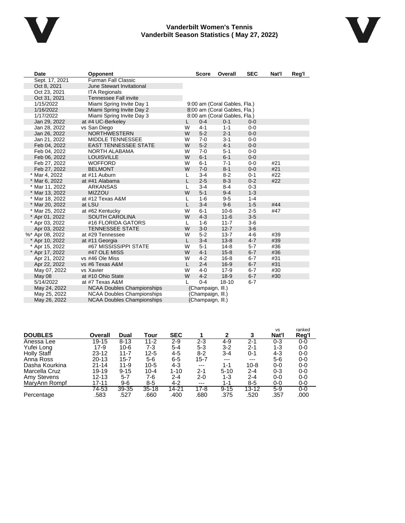

#### **Vanderbilt Women's Tennis Vanderbilt Season Statistics ( May 27, 2022)**

| <b>Date</b>     | <b>Opponent</b>                   |   | <b>Score</b>      | Overall                      | <b>SEC</b> | Nat'l | Reg'l |
|-----------------|-----------------------------------|---|-------------------|------------------------------|------------|-------|-------|
| Sept. 17, 2021  | <b>Furman Fall Classic</b>        |   |                   |                              |            |       |       |
| Oct 8, 2021     | June Stewart Invitational         |   |                   |                              |            |       |       |
| Oct 23, 2021    | <b>ITA Regionals</b>              |   |                   |                              |            |       |       |
| Oct 31, 2021    | Tennessee Fall invite             |   |                   |                              |            |       |       |
| 1/15/2022       | Miami Spring Invite Day 1         |   |                   | 9:00 am (Coral Gables, Fla.) |            |       |       |
| 1/16/2022       | Miami Spring Invite Day 2         |   |                   | 8:00 am (Coral Gables, Fla.) |            |       |       |
| 1/17/2022       | Miami Spring Invite Day 3         |   |                   | 8:00 am (Coral Gables, Fla.) |            |       |       |
| Jan 29, 2022    | at #4 UC-Berkeley                 | L | $0 - 4$           | $0 - 1$                      | $0 - 0$    |       |       |
| Jan 28, 2022    | vs San Diego                      | W | $4 - 1$           | $1 - 1$                      | $0 - 0$    |       |       |
| Jan 26, 2022    | <b>NORTHWESTERN</b>               | W | $5 - 2$           | $2 - 1$                      | $0 - 0$    |       |       |
| Jan 21, 2022    | MIDDLE TENNESSEE                  | W | $7 - 0$           | $3 - 1$                      | $0 - 0$    |       |       |
| Feb 04, 2022    | <b>EAST TENNESSEE STATE</b>       | W | $5 - 2$           | $4 - 1$                      | $0 - 0$    |       |       |
| Feb 04, 2022    | NORTH ALABAMA                     | W | $7 - 0$           | $5 - 1$                      | $0 - 0$    |       |       |
| Feb 06, 2022    | <b>LOUISVILLE</b>                 | W | $6 - 1$           | $6 - 1$                      | $0 - 0$    |       |       |
| Feb 27, 2022    | <b>WOFFORD</b>                    | W | $6 - 1$           | $7 - 1$                      | $0-0$      | #21   |       |
| Feb 27, 2022    | <b>BELMONT</b>                    | W | $7 - 0$           | $8 - 1$                      | $0 - 0$    | #21   |       |
| * Mar 4, 2022   | at #11 Auburn                     | L | $3 - 4$           | $8 - 2$                      | $0 - 1$    | #22   |       |
| * Mar 6, 2022   | at #41 Alabama                    | L | $2 - 5$           | $8 - 3$                      | $0 - 2$    | #22   |       |
| * Mar 11, 2022  | <b>ARKANSAS</b>                   | L | $3 - 4$           | $8 - 4$                      | $0 - 3$    |       |       |
| * Mar 13, 2022  | <b>MIZZOU</b>                     | W | $5 - 1$           | $9 - 4$                      | $1 - 3$    |       |       |
| * Mar 18, 2022  | at #12 Texas A&M                  | L | $1 - 6$           | $9 - 5$                      | $1 - 4$    |       |       |
| * Mar 20, 2022  | at LSU                            | L | $3 - 4$           | $9-6$                        | $1 - 5$    | #44   |       |
| * Mar 25, 2022  | at #62 Kentucky                   | W | $6 - 1$           | $10-6$                       | $2 - 5$    | #47   |       |
| * Apr 01, 2022  | <b>SOUTH CAROLINA</b>             | W | $4 - 3$           | $11 - 6$                     | $3-5$      |       |       |
| * Apr 03, 2022  | #16 FLORIDA GATORS                | L | $1 - 6$           | $11 - 7$                     | $3-6$      |       |       |
| Apr 03, 2022    | <b>TENNESSEE STATE</b>            | W | $3-0$             | $12 - 7$                     | $3-6$      |       |       |
| %* Apr 08, 2022 | at #29 Tennessee                  | W | $5 - 2$           | $13 - 7$                     | $4 - 6$    | #39   |       |
| * Apr 10, 2022  | at #11 Georgia                    | L | $3 - 4$           | $13 - 8$                     | $4 - 7$    | #39   |       |
| * Apr 15, 2022  | #67 MISSISSIPPI STATE             | W | $5 - 1$           | $14 - 8$                     | $5 - 7$    | #36   |       |
| * Apr 17, 2022  | #47 OLE MISS                      | W | $4 - 1$           | $15 - 8$                     | $6 - 7$    | #36   |       |
| Apr 21, 2022    | vs #46 Ole Miss                   | W | $4 - 2$           | $16 - 8$                     | $6 - 7$    | #31   |       |
| Apr 22, 2022    | vs #6 Texas A&M                   | L | $2 - 4$           | $16-9$                       | $6 - 7$    | #31   |       |
| May 07, 2022    | vs Xavier                         | W | $4 - 0$           | $17-9$                       | $6 - 7$    | #30   |       |
| May 08          | at #10 Ohio State                 | W | $4 - 2$           | $18-9$                       | $6 - 7$    | #30   |       |
| 5/14/2022       | at #7 Texas A&M                   | L | $0 - 4$           | $18 - 10$                    | $6 - 7$    |       |       |
| May 24, 2022    | <b>NCAA Doubles Championships</b> |   | (Champaign, III.) |                              |            |       |       |
| May 25, 2022    | <b>NCAA Doubles Championships</b> |   | (Champaign, III.) |                              |            |       |       |
| May 26, 2022    | <b>NCAA Doubles Championships</b> |   | (Champaign, III.) |                              |            |       |       |

| <b>DOUBLES</b>     | Overall   | Dual      | Tour     | <b>SEC</b> |          | 2        | 3        | <b>VS</b><br>Nat'l | ranked<br>Reg'l |
|--------------------|-----------|-----------|----------|------------|----------|----------|----------|--------------------|-----------------|
| Anessa Lee         | $19 - 15$ | $8 - 13$  | $11 - 2$ | $2 - 9$    | $2 - 3$  | 4-9      | $2 - 1$  | $0 - 3$            | $0-0$           |
| Yufei Long         | $17-9$    | $10 - 6$  | 7-3      | $5 - 4$    | $5 - 3$  | $3-2$    | $2 - 1$  | $1 - 3$            | 0-0             |
| <b>Holly Staff</b> | $23 - 12$ | $11 - 7$  | 12-5     | 4-5        | $8-2$    | 3-4      | $0 - 1$  | $4 - 3$            | 0-0             |
| Anna Ross          | 20-13     | 15-7      | 5-6      | $6 - 5$    | $15 - 7$ | $---$    | $---$    | $5-6$              | 0-0             |
| Dasha Kourkina     | $21 - 14$ | $11 - 9$  | $10-5$   | $4 - 3$    | $---$    | $1 - 1$  | $10 - 8$ | $0-0$              | 0-0             |
| Marcella Cruz      | 19-19     | $9 - 15$  | $10 - 4$ | $1 - 10$   | $2 - 1$  | $5-10$   | $2 - 4$  | $0 - 3$            | 0-0             |
| Amy Stevens        | $12 - 13$ | $5 - 7$   | 7-6      | $2 - 4$    | $2 - 0$  | $1 - 3$  | $2 - 4$  | $0-0$              | 0-0             |
| MaryAnn Rompf      | 17-11     | $9-6$     | $8 - 5$  | $4 - 2$    | $---$    | $1 - 1$  | $8 - 5$  | $0-0$              | 0-0             |
|                    | 74-53     | $39 - 35$ | $35-18$  | $14 - 21$  | $17 - 8$ | $9 - 15$ | 13-12    | $5-9$              | 0-0             |
| Percentage         | .583      | .527      | .660     | .400       | .680     | .375     | .520     | .357               | .000            |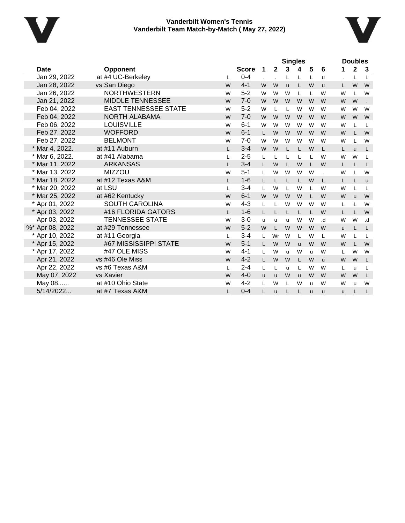



|                 |                             |              | <b>Singles</b> |              |              |          |              |   | <b>Doubles</b> |          |              |              |
|-----------------|-----------------------------|--------------|----------------|--------------|--------------|----------|--------------|---|----------------|----------|--------------|--------------|
| Date            | <b>Opponent</b>             |              | <b>Score</b>   | 1            | $\mathbf{2}$ | 3        | 4            | 5 | 6              | 1        | $\mathbf{2}$ | 3            |
| Jan 29, 2022    | at #4 UC-Berkeley           | L            | $0 - 4$        |              |              | L        | L            | L | u              |          | L            | L            |
| Jan 28, 2022    | vs San Diego                | W            | $4 - 1$        | W            | W            | <b>u</b> | L            | W | <b>u</b>       | L.       | W            | W            |
| Jan 26, 2022    | <b>NORTHWESTERN</b>         | W            | $5 - 2$        | W            | W            | W        | L            | L | W              | W        |              | W            |
| Jan 21, 2022    | <b>MIDDLE TENNESSEE</b>     | W            | $7 - 0$        | W            | W            | W        | W            | W | W              | W        | W            |              |
| Feb 04, 2022    | <b>EAST TENNESSEE STATE</b> | W            | $5-2$          | W            | L            | L        | W            | W | W              | W        | W            | W            |
| Feb 04, 2022    | NORTH ALABAMA               | W            | $7 - 0$        | W            | W            | W        | W            | W | W              | W        | W            | W            |
| Feb 06, 2022    | <b>LOUISVILLE</b>           | W            | $6 - 1$        | W            | W            | W        | W            | W | W              | W        |              | L            |
| Feb 27, 2022    | <b>WOFFORD</b>              | W            | $6 - 1$        | L            | W            | W        | W            | W | W              | W        |              | W            |
| Feb 27, 2022    | <b>BELMONT</b>              | W            | $7 - 0$        | W            | W            | W        | W            | W | W              | W        |              | W            |
| * Mar 4, 2022.  | at #11 Auburn               | L            | $3 - 4$        | W            | W            | L        |              | W | L              | L.       | <b>u</b>     | L            |
| * Mar 6, 2022.  | at #41 Alabama              | L            | $2 - 5$        | L            |              | L        |              | L | W              | W        | W            | L            |
| * Mar 11, 2022  | <b>ARKANSAS</b>             | $\mathbf{L}$ | $3 - 4$        | $\mathbf{L}$ | W            | L        | W            | L | W              | L.       |              | L            |
| * Mar 13, 2022  | <b>MIZZOU</b>               | W            | $5 - 1$        | L            | W            | W        | W            | W |                | W        |              | W            |
| * Mar 18, 2022  | at #12 Texas A&M            | L            | $1 - 6$        | L            |              | L        |              | W | L              | L.       |              | $\mathbf{u}$ |
| * Mar 20, 2022  | at LSU                      | L            | $3 - 4$        | L            | W            | L        | W            | L | W              | W        |              | L            |
| * Mar 25, 2022  | at #62 Kentucky             | W            | $6 - 1$        | W            | W            | W        | W            | L | W              | W        | $\mathbf{u}$ | W            |
| * Apr 01, 2022  | <b>SOUTH CAROLINA</b>       | W            | $4 - 3$        | L            |              | W        | W            | W | W              | L        |              | W            |
| * Apr 03, 2022  | #16 FLORIDA GATORS          | L            | $1 - 6$        | L            |              | L        | L            | L | W              | L        |              | W            |
| Apr 03, 2022    | <b>TENNESSEE STATE</b>      | W            | $3-0$          | ū            | u            | u        | W            | W | b.             | W        | W            | .d           |
| %* Apr 08, 2022 | at #29 Tennessee            | W            | $5-2$          | W            | L            | W        | W            | W | W              | <b>u</b> |              | L            |
| * Apr 10, 2022  | at #11 Georgia              | L            | $3 - 4$        | L            | Wr           | W        | L            | W | L              | W        |              | L            |
| * Apr 15, 2022  | #67 MISSISSIPPI STATE       | W            | $5-1$          |              | W            | W        | $\mathbf{u}$ | W | W              | W        |              | W            |
| * Apr 17, 2022  | #47 OLE MISS                | W            | $4 - 1$        | L            | W            | <b>u</b> | W            | u | W              | L        | W            | W            |
| Apr 21, 2022    | vs #46 Ole Miss             | W            | $4 - 2$        | $\mathbf{L}$ | W            | W        |              | W | <b>u</b>       | W        | W            | L            |
| Apr 22, 2022    | vs #6 Texas A&M             | L            | $2 - 4$        | L            | L            | u        | L            | W | W              | L        | u            | L            |
| May 07, 2022    | vs Xavier                   | W            | $4 - 0$        | $\mathbf{u}$ | <b>u</b>     | W        | <b>u</b>     | W | W              | W        | W            | L            |
| May 08          | at #10 Ohio State           | W            | $4 - 2$        | L            | W            | L        | W            | u | W              | W        | u            | W            |
| 5/14/2022       | at #7 Texas A&M             |              | $0 - 4$        | L            | u            | L        |              | ū | u              | <b>u</b> |              | L            |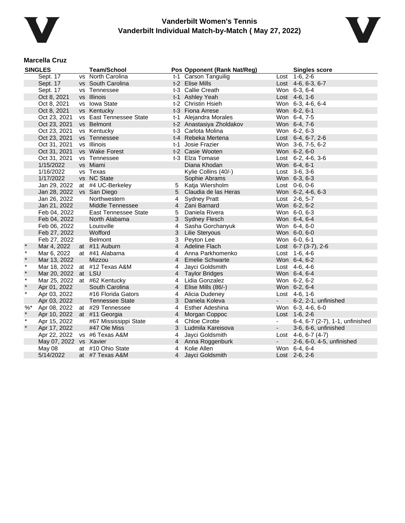



#### **Marcella Cruz**

|         | <b>SINGLES</b>         | <b>Team/School</b>            |                | Pos Opponent (Rank Nat/Reg) |            | <b>Singles score</b>            |
|---------|------------------------|-------------------------------|----------------|-----------------------------|------------|---------------------------------|
|         | Sept. 17               | vs North Carolina             |                | t-1 Carson Tanguilig        |            | Lost 1-6, 2-6                   |
|         | Sept. 17               | vs South Carolina             |                | t-2 Elise Mills             |            | Lost 4-6, 6-3, 6-7              |
|         | Sept. 17               | vs Tennessee                  |                | t-3 Callie Creath           |            | Won 6-3, 6-4                    |
|         | Oct 8, 2021            | vs Illinois                   |                | t-1 Ashley Yeah             |            | Lost 4-6, 1-6                   |
|         | Oct 8, 2021            | vs Iowa State                 |                | t-2 Christin Hsieh          |            | Won 6-3, 4-6, 6-4               |
|         | Oct 8, 2021            | vs Kentucky                   |                | t-3 Fiona Arrese            |            | Won 6-2, 6-1                    |
|         | Oct 23, 2021           | vs East Tennessee State       |                | t-1 Alejandra Morales       |            | Won 6-4, 7-5                    |
|         | Oct 23, 2021           | vs Belmont                    |                | t-2 Anastasiya Zholdakov    |            | Won 6-4, 7-6                    |
|         | Oct 23, 2021           | vs Kentucky                   |                | t-3 Carlota Molina          |            | Won 6-2, 6-3                    |
|         | Oct 23, 2021           | vs Tennessee                  |                | t-4 Rebeka Mertena          |            | Lost 6-4, 6-7, 2-6              |
|         | Oct 31, 2021           | vs Illinois                   |                | t-1 Josie Frazier           |            | Won 3-6, 7-5, 6-2               |
|         | Oct 31, 2021           | vs Wake Forest                |                | t-2 Casie Wooten            |            | Won 6-2, 6-0                    |
|         | Oct 31, 2021           | vs Tennessee                  |                | t-3 Elza Tomase             |            | Lost $6-2$ , $4-6$ , $3-6$      |
|         | 1/15/2022              | vs Miami                      |                | Diana Khodan                |            | Won 6-4, 6-1                    |
|         | 1/16/2022              | vs Texas                      |                | Kylie Collins (40/-)        |            | Lost $3-6, 3-6$                 |
|         | 1/17/2022              | vs NC State                   |                | Sophie Abrams               |            | Won 6-3, 6-3                    |
|         | Jan 29, 2022           | at #4 UC-Berkeley             |                | 5 Katja Wiersholm           |            | Lost 0-6, 0-6                   |
|         | Jan 28, 2022           | vs San Diego                  | 5              | Claudia de las Heras        |            | Won 6-2, 4-6, 6-3               |
|         | Jan 26, 2022           | Northwestern                  | 4              | <b>Sydney Pratt</b>         |            | Lost 2-6, 5-7                   |
|         | Jan 21, 2022           | Middle Tennessee              | $\overline{4}$ | Zani Barnard                |            | Won 6-2, 6-2                    |
|         | Feb 04, 2022           | <b>East Tennessee State</b>   | 5              | Daniela Rivera              |            | Won 6-0, 6-3                    |
|         | Feb 04, 2022           | North Alabama                 | 3              | <b>Sydney Flesch</b>        |            | Won 6-4, 6-4                    |
|         | Feb 06, 2022           | Louisville                    | $\overline{4}$ | Sasha Gorchanyuk            |            | Won 6-4, 6-0                    |
|         | Feb 27, 2022           | Wofford                       | 3              | <b>Lilie Steryous</b>       |            | Won 6-0, 6-0                    |
|         | Feb 27, 2022           | <b>Belmont</b>                | 3              | Peyton Lee                  |            | Won 6-0, 6-1                    |
|         | Mar 4, 2022            | at #11 Auburn                 | $\overline{4}$ | <b>Adeline Flach</b>        |            | Lost $6-7$ (3-7), 2-6           |
| $\star$ | Mar 6, 2022            | at #41 Alabama                | 4              | Anna Parkhomenko            |            | Lost 1-6, 4-6                   |
| $\star$ | Mar 13, 2022           | Mizzou                        |                | 4 Emelie Schwarte           |            | Won 6-4, 6-2                    |
| $\ast$  |                        | Mar 18, 2022 at #12 Texas A&M | 4              | Jayci Goldsmith             |            | Lost 4-6, 4-6                   |
| $\star$ | Mar 20, 2022           | at LSU                        | $\overline{4}$ | <b>Taylor Bridges</b>       |            | Won 6-4, 6-4                    |
| $\ast$  |                        | Mar 25, 2022 at #62 Kentucky  | 4              | Lidia Gonzalez              |            | Won 6-2, 6-2                    |
| $\star$ | Apr 01, 2022           | South Carolina                | $\overline{4}$ | Elise Mills (86/-)          |            | Won 6-2, 6-4                    |
| $\star$ | Apr 03, 2022           | #16 Florida Gators            | 4              | Alicia Dudeney              |            | Lost 4-6, 1-6                   |
|         | Apr 03, 2022           | <b>Tennessee State</b>        | 3              | Daniela Koleva              |            | 6-2, 2-1, unfinished            |
| $%$ *   | Apr 08, 2022           | at #29 Tennessee              | 4              | Esther Adeshina             |            | Won 6-3, 4-6, 6-0               |
| $\star$ | Apr 10, 2022           | at #11 Georgia                | $\overline{4}$ | Morgan Coppoc               |            | Lost 1-6, 2-6                   |
| $\star$ | Apr 15, 2022           | #67 Mississippi State         | 4              | <b>Chloe Cirotte</b>        |            | 6-4, 6-7 (2-7), 1-1, unfinished |
| $\star$ | Apr 17, 2022           | #47 Ole Miss                  | 3              | Ludmila Kareisova           |            | 3-6, 6-6, unfinished            |
|         | Apr 22, 2022           | vs #6 Texas A&M               | 4              | Jayci Goldsmith             |            | Lost $4-6, 6-7 (4-7)$           |
|         | May 07, 2022 vs Xavier |                               |                | 4 Anna Roggenburk           | $\sim 100$ | 2-6, 6-0, 4-5, unfinished       |
|         | May 08                 | at #10 Ohio State             | 4              | Kolie Allen                 |            | Won 6-4, 6-4                    |
|         | 5/14/2022              | at #7 Texas A&M               | $\overline{4}$ | Jayci Goldsmith             |            | Lost 2-6, 2-6                   |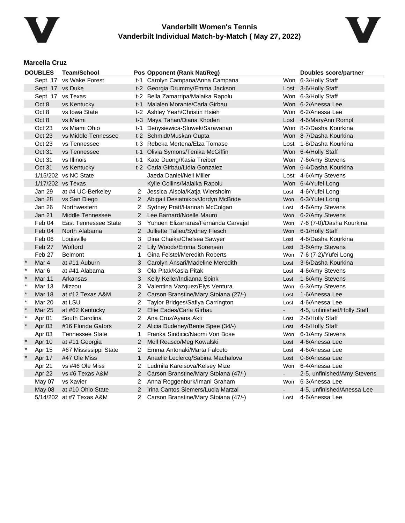



# **Marcella Cruz**

|              | <b>DOUBLES</b>   | <b>Team/School</b>          |                       | Pos Opponent (Rank Nat/Reg)          |                | <b>Doubles score/partner</b> |
|--------------|------------------|-----------------------------|-----------------------|--------------------------------------|----------------|------------------------------|
|              |                  | Sept. 17 vs Wake Forest     |                       | t-1 Carolyn Campana/Anna Campana     |                | Won 6-3/Holly Staff          |
|              | Sept. 17 vs Duke |                             |                       | t-2 Georgia Drummy/Emma Jackson      |                | Lost 3-6/Holly Staff         |
|              |                  | Sept. 17 vs Texas           |                       | t-2 Bella Zamarripa/Malaika Rapolu   |                | Won 6-3/Holly Staff          |
|              | Oct 8            | vs Kentucky                 | t-1                   | Maialen Morante/Carla Girbau         |                | Won 6-2/Anessa Lee           |
|              | Oct 8            | vs Iowa State               |                       | t-2 Ashley Yeah/Christin Hsieh       |                | Won 6-2/Anessa Lee           |
|              | Oct 8            | vs Miami                    |                       | t-3 Maya Tahan/Diana Khoden          |                | Lost 4-6/MaryAnn Rompf       |
|              | Oct 23           | vs Miami Ohio               | t-1                   | Denysiewica-Slowek/Saravanan         |                | Won 8-2/Dasha Kourkina       |
|              | Oct 23           | vs Middle Tennessee         |                       | t-2 Schmidt/Muskan Gupta             |                | Won 8-7/Dasha Kourkina       |
|              | Oct 23           | vs Tennessee                |                       | t-3 Rebeka Mertena/Elza Tomase       |                | Lost 1-8/Dasha Kourkina      |
|              | Oct 31           | vs Tennessee                | t-1                   | Olivia Symons/Tenika McGiffin        |                | Won 6-4/Holly Staff          |
|              | Oct 31           | vs Illinois                 | t-1                   | Kate Duong/Kasia Treiber             |                | Won 7-6/Amy Stevens          |
|              | Oct 31           | vs Kentucky                 |                       | t-2 Carla Girbau/Lidia Gonzalez      |                | Won 6-4/Dasha Kourkina       |
|              |                  | 1/15/202 vs NC State        |                       | Jaeda Daniel/Nell Miller             |                | Lost 4-6/Amy Stevens         |
|              |                  | 1/17/202 vs Texas           |                       | Kylie Collins/Malaika Rapolu         |                | Won 6-4/Yufei Long           |
|              | Jan 29           | at #4 UC-Berkeley           | 2                     | Jessica Alsola/Katja Wiersholm       | Lost           | 4-6/Yufei Long               |
|              | <b>Jan 28</b>    | vs San Diego                | $\mathbf{2}$          | Abigail Desiatnikov/Jordyn McBride   | Won            | 6-3/Yufei Long               |
|              | Jan 26           | Northwestern                | 2                     | Sydney Pratt/Hannah McColgan         | Lost           | 4-6/Amy Stevens              |
|              | Jan 21           | Middle Tennessee            | $\overline{2}$        | Lee Barnard/Noelle Mauro             | Won            | 6-2/Amy Stevens              |
|              | Feb 04           | <b>East Tennessee State</b> | 3                     | Yunuen Elizarraras/Fernanda Carvajal | Won            | 7-6 (7-0)/Dasha Kourkina     |
|              | Feb 04           | North Alabama               | $\mathbf{2}^{\prime}$ | Julliette Talieu/Sydney Flesch       |                | Won 6-1/Holly Staff          |
|              | Feb 06           | Louisville                  | 3                     | Dina Chaika/Chelsea Sawyer           | Lost           | 4-6/Dasha Kourkina           |
|              | Feb 27           | Wofford                     | $\overline{2}$        | Lily Woods/Emma Sorensen             | Lost           | 3-6/Amy Stevens              |
|              | Feb 27           | <b>Belmont</b>              | $\mathbf 1$           | Gina Feistel/Meredith Roberts        | Won            | 7-6 (7-2)/Yufei Long         |
|              | Mar 4            | at #11 Auburn               | 3                     | Carolyn Ansari/Madeline Meredith     | Lost           | 3-6/Dasha Kourkina           |
| $\star$      | Mar 6            | at #41 Alabama              | 3                     | Ola Pitak/Kasia Pitak                | Lost           | 4-6/Amy Stevens              |
| $\star$      | Mar 11           | Arkansas                    | 3                     | Kelly Keller/Indianna Spink          | Lost           | 1-6/Amy Stevens              |
| $\star$      | <b>Mar 13</b>    | Mizzou                      | 3                     | Valentina Vazquez/Elys Ventura       | Won            | 6-3/Amy Stevens              |
| $\star$      | <b>Mar 18</b>    | at #12 Texas A&M            | 2                     | Carson Branstine/Mary Stoiana (27/-) | Lost           | 1-6/Anessa Lee               |
| $\ast$       | <b>Mar 20</b>    | at LSU                      | 2                     | Taylor Bridges/Safiya Carrington     | Lost           | 4-6/Anessa Lee               |
| $\pmb{\ast}$ | <b>Mar 25</b>    | at #62 Kentucky             | $\overline{2}$        | Ellie Eades/Carla Girbau             |                | 4-5, unfinished/Holly Staff  |
| $\star$      | Apr 01           | South Carolina              | 2                     | Ana Cruz/Ayana Akli                  | Lost           | 2-6/Holly Staff              |
| $\ast$       | Apr 03           | #16 Florida Gators          | $\overline{2}$        | Alicia Dudeney/Bente Spee (34/-)     | Lost           | 4-6/Holly Staff              |
|              | Apr 03           | <b>Tennessee State</b>      | 1.                    | Franka Sindicic/Naomi Von Bose       | Won            | 6-1/Amy Stevens              |
|              | Apr 10           | at #11 Georgia              | $\overline{2}$        | Mell Reasco/Meg Kowalski             | Lost           | 4-6/Anessa Lee               |
|              | Apr 15           | #67 Mississippi State       | 2                     | Emma Antonaki/Marta Falceto          | Lost           | 4-6/Anessa Lee               |
|              | Apr 17           | #47 Ole Miss                | $\mathbf{1}$          | Anaelle Leclercq/Sabina Machalova    | Lost           | 0-6/Anessa Lee               |
|              | Apr 21           | vs #46 Ole Miss             | 2                     | Ludmila Kareisova/Kelsey Mize        | Won            | 6-4/Anessa Lee               |
|              | Apr 22           | vs #6 Texas A&M             | 2                     | Carson Branstine/Mary Stoiana (47/-) | $\blacksquare$ | 2-5, unfinished/Amy Stevens  |
|              | May 07           | vs Xavier                   | $\mathbf{2}^{\circ}$  | Anna Roggenburk/Imani Graham         |                | Won 6-3/Anessa Lee           |
|              | May 08           | at #10 Ohio State           | 2                     | Irina Cantos Siemers/Lucia Marzal    |                | 4-5, unfinished/Anessa Lee   |
|              |                  | 5/14/202 at #7 Texas A&M    | 2                     | Carson Branstine/Mary Stoiana (47/-) | Lost           | 4-6/Anessa Lee               |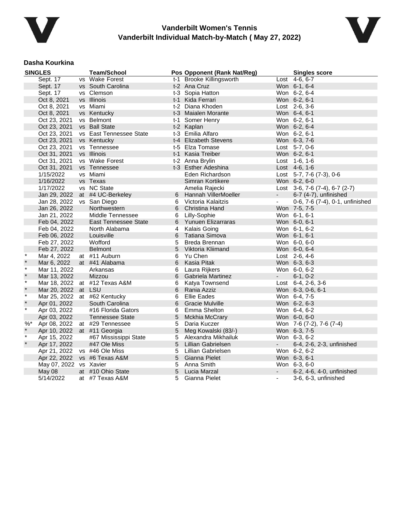



#### **Dasha Kourkina**

|         | <b>SINGLES</b> | <b>Team/School</b>      |   | Pos Opponent (Rank Nat/Reg) |                | <b>Singles score</b>               |
|---------|----------------|-------------------------|---|-----------------------------|----------------|------------------------------------|
|         | Sept. 17       | vs Wake Forest          |   | t-1 Brooke Killingsworth    |                | Lost 4-6, 6-7                      |
|         | Sept. 17       | vs South Carolina       |   | t-2 Ana Cruz                |                | Won 6-1, 6-4                       |
|         | Sept. 17       | vs Clemson              |   | t-3 Sopia Hatton            |                | Won 6-2, 6-4                       |
|         | Oct 8, 2021    | vs Illinois             |   | t-1 Kida Ferrari            |                | Won 6-2, 6-1                       |
|         | Oct 8, 2021    | vs Miami                |   | t-2 Diana Khoden            |                | Lost 2-6, 3-6                      |
|         | Oct 8, 2021    | vs Kentucky             |   | t-3 Maialen Morante         |                | Won 6-4, 6-1                       |
|         | Oct 23, 2021   | vs Belmont              |   | t-1 Somer Henry             |                | Won 6-2, 6-1                       |
|         | Oct 23, 2021   | vs Ball State           |   | t-2 Kaplan                  |                | Won 6-2, 6-4                       |
|         | Oct 23, 2021   | vs East Tennessee State |   | t-3 Emilia Alfaro           |                | Won 6-2, 6-1                       |
|         | Oct 23, 2021   | vs Kentucky             |   | t-4 Elizabeth Stevens       |                | Won 6-3, 7-6                       |
|         | Oct 23, 2021   | vs Tennessee            |   | t-5 Elza Tomase             |                | Lost 5-7, 0-6                      |
|         | Oct 31, 2021   | vs Illinois             |   | t-1 Kasia Treiber           |                | Won 6-2, 6-1                       |
|         | Oct 31, 2021   | vs Wake Forest          |   | t-2 Anna Brylin             |                | Lost 1-6, 1-6                      |
|         | Oct 31, 2021   | vs Tennessee            |   | t-3 Esther Adeshina         |                | Lost 4-6, 1-6                      |
|         | 1/15/2022      | vs Miami                |   | Eden Richardson             |                | Lost $5-7$ , $7-6$ $(7-3)$ , $0-6$ |
|         | 1/16/2022      | vs Texas                |   | Simran Kortikere            |                | Won 6-2, 6-0                       |
|         | 1/17/2022      | vs NC State             |   | Amelia Rajecki              |                | Lost 3-6, 7-6 (7-4), 6-7 (2-7)     |
|         | Jan 29, 2022   | at #4 UC-Berkeley       | 6 | Hannah VillerMoeller        | $\sim$         | 6-7 (4-7), unfinished              |
|         | Jan 28, 2022   | vs San Diego            | 6 | Victoria Kalaitzis          | $\blacksquare$ | 0-6, 7-6 (7-4), 0-1, unfinished    |
|         | Jan 26, 2022   | <b>Northwestern</b>     | 6 | Christina Hand              |                | Won 7-5, 7-5                       |
|         | Jan 21, 2022   | Middle Tennessee        | 6 | Lilly-Sophie                |                | Won 6-1, 6-1                       |
|         | Feb 04, 2022   | East Tennessee State    | 6 | Yunuen Elizarraras          |                | Won 6-0, 6-1                       |
|         | Feb 04, 2022   | North Alabama           | 4 | Kalais Going                |                | Won 6-1, 6-2                       |
|         | Feb 06, 2022   | Louisville              | 6 | Tatiana Simova              |                | Won 6-1, 6-1                       |
|         | Feb 27, 2022   | Wofford                 | 5 | Breda Brennan               |                | Won 6-0, 6-0                       |
|         | Feb 27, 2022   | <b>Belmont</b>          | 5 | Viktoria Kliimand           |                | Won 6-0, 6-4                       |
| $\star$ | Mar 4, 2022    | at #11 Auburn           | 6 | Yu Chen                     |                | Lost 2-6, 4-6                      |
| $\star$ | Mar 6, 2022    | at #41 Alabama          | 6 | Kasia Pitak                 |                | Won 6-3, 6-3                       |
| $\star$ | Mar 11, 2022   | Arkansas                | 6 | Laura Rijkers               |                | Won 6-0, 6-2                       |
| $\star$ | Mar 13, 2022   | Mizzou                  | 6 | Gabriela Martinez           | $\sim$         | $6-1, 0-2$                         |
| $\star$ | Mar 18, 2022   | at #12 Texas A&M        | 6 | Katya Townsend              |                | Lost 6-4, 2-6, 3-6                 |
| $\star$ | Mar 20, 2022   | at LSU                  | 6 | Rania Azziz                 |                | Won 6-3, 0-6, 6-1                  |
| $\star$ | Mar 25, 2022   | at #62 Kentucky         | 6 | <b>Ellie Eades</b>          |                | Won 6-4, 7-5                       |
| $\star$ | Apr 01, 2022   | South Carolina          | 6 | <b>Gracie Mulville</b>      |                | Won 6-2, 6-3                       |
| $\star$ | Apr 03, 2022   | #16 Florida Gators      | 6 | Emma Shelton                |                | Won 6-4, 6-2                       |
|         | Apr 03, 2022   | Tennessee State         | 5 | Mckhia McCrary              |                | Won 6-0, 6-0                       |
| $%$ *   | Apr 08, 2022   | at #29 Tennessee        | 5 | Daria Kuczer                |                | Won 7-6 (7-2), 7-6 (7-4)           |
| $\star$ | Apr 10, 2022   | at #11 Georgia          | 5 | Meg Kowalski (83/-)         |                | Won 6-3, 7-5                       |
| $\star$ | Apr 15, 2022   | #67 Mississippi State   | 5 | Alexandra Mikhailuk         |                | Won 6-3, 6-2                       |
| $\star$ | Apr 17, 2022   | #47 Ole Miss            | 5 | Lillian Gabrielsen          | $\sim$         | 6-4, 2-6, 2-3, unfinished          |
|         | Apr 21, 2022   | vs #46 Ole Miss         | 5 | Lillian Gabrielsen          |                | Won 6-2, 6-2                       |
|         | Apr 22, 2022   | vs #6 Texas A&M         | 5 | Gianna Pielet               |                | Won 6-3, 6-1                       |
|         | May 07, 2022   | vs Xavier               | 5 | Anna Smith                  |                | Won 6-3, 6-0                       |
|         | May 08         | at #10 Ohio State       | 5 | Lucia Marzal                |                | 6-2, 4-6, 4-0, unfinished          |
|         | 5/14/2022      | at #7 Texas A&M         | 5 | Gianna Pielet               | $\blacksquare$ | 3-6, 6-3, unfinished               |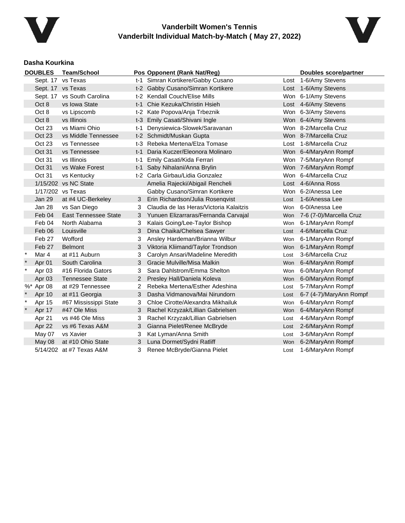



#### **Dasha Kourkina**

| <b>DOUBLES</b> |                   | <b>Team/School</b>          |                | Pos Opponent (Rank Nat/Reg)             | <b>Doubles score/partner</b> |                             |  |
|----------------|-------------------|-----------------------------|----------------|-----------------------------------------|------------------------------|-----------------------------|--|
|                |                   | Sept. 17 vs Texas           |                | t-1 Simran Kortikere/Gabby Cusano       |                              | Lost 1-6/Amy Stevens        |  |
|                |                   | Sept. 17 vs Texas           |                | t-2 Gabby Cusano/Simran Kortikere       |                              | Lost 1-6/Amy Stevens        |  |
|                |                   | Sept. 17 vs South Carolina  |                | t-2 Kendall Couch/Elise Mills           |                              | Won 6-1/Amy Stevens         |  |
|                | Oct 8             | vs Iowa State               | $t-1$          | Chie Kezuka/Christin Hsieh              |                              | Lost 4-6/Amy Stevens        |  |
|                | Oct 8             | vs Lipscomb                 |                | t-2 Kate Popova/Anja Trbeznik           |                              | Won 6-3/Amy Stevens         |  |
|                | Oct 8             | vs Illinois                 |                | t-3 Emily Casati/Shivani Ingle          |                              | Won 6-4/Amy Stevens         |  |
|                | Oct 23            | vs Miami Ohio               | t-1            | Denysiewica-Slowek/Saravanan            |                              | Won 8-2/Marcella Cruz       |  |
|                | <b>Oct 23</b>     | vs Middle Tennessee         |                | t-2 Schmidt/Muskan Gupta                |                              | Won 8-7/Marcella Cruz       |  |
|                | Oct 23            | vs Tennessee                |                | t-3 Rebeka Mertena/Elza Tomase          |                              | Lost 1-8/Marcella Cruz      |  |
|                | Oct 31            | vs Tennessee                | t-1            | Daria Kuczer/Eleonora Molinaro          |                              | Won 6-4/MaryAnn Rompf       |  |
|                | Oct 31            | vs Illinois                 | t-1            | Emily Casati/Kida Ferrari               |                              | Won 7-5/MaryAnn Rompf       |  |
|                | Oct 31            | vs Wake Forest              | t-1            | Saby Nihalani/Anna Brylin               |                              | Won 7-6/MaryAnn Rompf       |  |
|                | Oct 31            | vs Kentucky                 |                | t-2 Carla Girbau/Lidia Gonzalez         |                              | Won 6-4/Marcella Cruz       |  |
|                |                   | 1/15/202 vs NC State        |                | Amelia Rajecki/Abigail Rencheli         |                              | Lost 4-6/Anna Ross          |  |
|                |                   | 1/17/202 vs Texas           |                | Gabby Cusano/Simran Kortikere           |                              | Won 6-2/Anessa Lee          |  |
|                | Jan 29            | at #4 UC-Berkeley           | 3              | Erin Richardson/Julia Rosenqvist        | Lost                         | 1-6/Anessa Lee              |  |
|                | Jan 28            | vs San Diego                | 3              | Claudia de las Heras/Victoria Kalaitzis | Won                          | 6-0/Anessa Lee              |  |
|                | Feb 04            | <b>East Tennessee State</b> | 3              | Yunuen Elizarraras/Fernanda Carvajal    |                              | Won 7-6 (7-0)/Marcella Cruz |  |
|                | Feb 04            | North Alabama               | 3              | Kalais Going/Lee-Taylor Bishop          | Won                          | 6-1/MaryAnn Rompf           |  |
|                | Feb 06            | Louisville                  | 3              | Dina Chaika/Chelsea Sawyer              | Lost                         | 4-6/Marcella Cruz           |  |
|                | Feb 27            | Wofford                     | 3              | Ansley Hardeman/Brianna Wilbur          | Won                          | 6-1/MaryAnn Rompf           |  |
|                | Feb 27            | <b>Belmont</b>              | 3              | Viktoria Kliimand/Taylor Trondson       |                              | Won 6-1/MaryAnn Rompf       |  |
| $\ast$         | Mar 4             | at #11 Auburn               | 3              | Carolyn Ansari/Madeline Meredith        | Lost                         | 3-6/Marcella Cruz           |  |
|                | Apr 01            | South Carolina              | 3              | Gracie Mulville/Misa Malkin             | Won                          | 6-4/MaryAnn Rompf           |  |
| $\ast$         | Apr 03            | #16 Florida Gators          | 3              | Sara Dahlstrom/Emma Shelton             | Won                          | 6-0/MaryAnn Rompf           |  |
|                | Apr <sub>03</sub> | <b>Tennessee State</b>      | $\overline{2}$ | Presley Hall/Daniela Koleva             | Won                          | 6-0/MaryAnn Rompf           |  |
|                | %* Apr 08         | at #29 Tennessee            | 2              | Rebeka Mertena/Esther Adeshina          | Lost                         | 5-7/MaryAnn Rompf           |  |
|                | Apr 10            | at #11 Georgia              | 3              | Dasha Vidmanova/Mai Nirundorn           | Lost                         | 6-7 (4-7)/MaryAnn Rompf     |  |
| $\ast$         | Apr 15            | #67 Mississippi State       | 3              | Chloe Cirotte/Alexandra Mikhailuk       | Won                          | 6-4/MaryAnn Rompf           |  |
| $\star$        | Apr 17            | #47 Ole Miss                | 3              | Rachel Krzyzak/Lillian Gabrielsen       | Won                          | 6-4/MaryAnn Rompf           |  |
|                | Apr 21            | vs #46 Ole Miss             | 3              | Rachel Krzyzak/Lillian Gabrielsen       | Lost                         | 4-6/MaryAnn Rompf           |  |
|                | Apr 22            | vs #6 Texas A&M             | 3              | Gianna Pielet/Renee McBryde             | Lost                         | 2-6/MaryAnn Rompf           |  |
|                | May 07            | vs Xavier                   | 3              | Kat Lyman/Anna Smith                    | Lost                         | 3-6/MaryAnn Rompf           |  |
|                | May 08            | at #10 Ohio State           | 3              | Luna Dormet/Sydni Ratliff               |                              | Won 6-2/MaryAnn Rompf       |  |
|                |                   | 5/14/202 at #7 Texas A&M    | 3              | Renee McBryde/Gianna Pielet             | Lost                         | 1-6/MaryAnn Rompf           |  |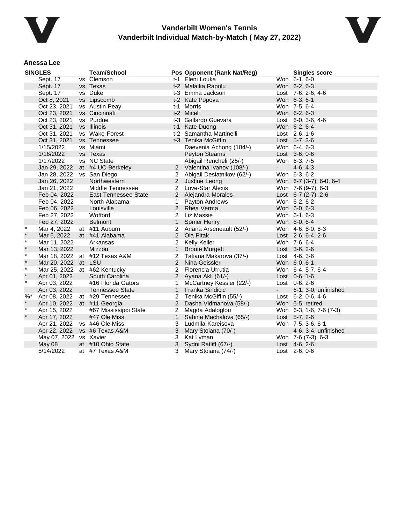



#### **Anessa Lee**

|         | <b>SINGLES</b>      | <b>Team/School</b>            |              | Pos Opponent (Rank Nat/Reg)  |            | <b>Singles score</b>       |
|---------|---------------------|-------------------------------|--------------|------------------------------|------------|----------------------------|
|         | Sept. 17            | vs Clemson                    |              | t-1 Eleni Louka              |            | Won 6-1, 6-0               |
|         | Sept. 17            | vs Texas                      |              | t-2 Malaika Rapolu           |            | Won 6-2, 6-3               |
|         | Sept. 17            | vs Duke                       |              | t-3 Emma Jackson             |            | Lost 7-6, 2-6, 4-6         |
|         | Oct 8, 2021         | vs Lipscomb                   |              | t-2 Kate Popova              |            | Won 6-3, 6-1               |
|         | Oct 23, 2021        | vs Austin Peay                |              | t-1 Morris                   |            | Won 7-5, 6-4               |
|         | Oct 23, 2021        | vs Cincinnati                 |              | t-2 Miceli                   |            | Won 6-2, 6-3               |
|         | Oct 23, 2021        | vs Purdue                     |              | t-3 Gallardo Guevara         |            | Lost $6-0$ , $3-6$ , $4-6$ |
|         | Oct 31, 2021        | vs Illinois                   |              | t-1 Kate Duong               |            | Won 6-2, 6-4               |
|         | Oct 31, 2021        | vs Wake Forest                |              | t-2 Samantha Martinelli      |            | Lost 2-6, 1-6              |
|         | Oct 31, 2021        | vs Tennessee                  |              | t-3 Tenika McGiffin          |            | Lost 5-7, 3-6              |
|         | 1/15/2022           | vs Miami                      |              | Daevenia Achong (104/-)      |            | Won 6-4, 6-3               |
|         | 1/16/2022           | vs Texas                      |              | <b>Peyton Stearns</b>        |            | Lost 3-6, 0-6              |
|         | 1/17/2022           | vs NC State                   |              | Abigail Rencheli (25/-)      |            | Won 6-3, 7-5               |
|         | Jan 29, 2022        | at #4 UC-Berkeley             |              | 2 Valentina Ivanov (108/-)   | $\sim 100$ | $4-6, 4-3$                 |
|         | Jan 28, 2022        | vs San Diego                  |              | 2 Abigail Desiatnikov (62/-) |            | Won 6-3, 6-2               |
|         | Jan 26, 2022        | Northwestern                  |              | 2 Justine Leong              |            | Won 6-7 (3-7), 6-0, 6-4    |
|         | Jan 21, 2022        | Middle Tennessee              |              | 2 Love-Star Alexis           |            | Won 7-6 (9-7), 6-3         |
|         | Feb 04, 2022        | <b>East Tennessee State</b>   |              | 2 Alejandra Morales          |            | Lost $6-7$ (2-7), 2-6      |
|         | Feb 04, 2022        | North Alabama                 | $\mathbf{1}$ | Payton Andrews               |            | Won 6-2, 6-2               |
|         | Feb 06, 2022        | Louisville                    |              | 2 Rhea Verma                 |            | Won 6-0, 6-3               |
|         | Feb 27, 2022        | Wofford                       |              | 2 Liz Massie                 |            | Won 6-1, 6-3               |
|         | Feb 27, 2022        | <b>Belmont</b>                | $\mathbf{1}$ | Somer Henry                  |            | Won 6-0, 6-4               |
| $\star$ | Mar 4, 2022         | at #11 Auburn                 |              | 2 Ariana Arseneault (52/-)   |            | Won 4-6, 6-0, 6-3          |
|         | Mar 6, 2022         | at #41 Alabama                |              | 2 Ola Pitak                  |            | Lost 2-6, 6-4, 2-6         |
| $\star$ | Mar 11, 2022        | Arkansas                      | 2            | Kelly Keller                 |            | Won 7-6, 6-4               |
| $\star$ | Mar 13, 2022        | Mizzou                        | $\mathbf{1}$ | <b>Bronte Murgett</b>        |            | Lost 3-6, 2-6              |
| $\star$ |                     | Mar 18, 2022 at #12 Texas A&M | 2            | Tatiana Makarova (37/-)      |            | Lost 4-6, 3-6              |
| $\star$ | Mar 20, 2022 at LSU |                               |              | 2 Nina Geissler              |            | Won 6-0, 6-1               |
| $\star$ |                     | Mar 25, 2022 at #62 Kentucky  | 2            | Florencia Urrutia            |            | Won 6-4, 5-7, 6-4          |
| $\star$ | Apr 01, 2022        | South Carolina                |              | 2 Ayana Akli (61/-)          |            | Lost $0-6, 1-6$            |
| $\star$ | Apr 03, 2022        | #16 Florida Gators            | 1.           | McCartney Kessler (22/-)     |            | Lost 0-6, 2-6              |
|         | Apr 03, 2022        | <b>Tennessee State</b>        |              | 1 Franka Sindicic            | $\sim$     | 6-1, 3-0, unfinished       |
| $%$ *   | Apr 08, 2022        | at #29 Tennessee              |              | 2 Tenika McGiffin (55/-)     |            | Lost $6-2$ , $0-6$ , $4-6$ |
|         | Apr 10, 2022        | at #11 Georgia                | 2            | Dasha Vidmanova (58/-)       |            | Won 5-5, retired           |
| $\star$ | Apr 15, 2022        | #67 Mississippi State         |              | 2 Magda Adaloglou            |            | Won 6-3, 1-6, 7-6 (7-3)    |
| $\star$ | Apr 17, 2022        | #47 Ole Miss                  | $\mathbf{1}$ | Sabina Machalova (65/-)      |            | Lost 5-7, 2-6              |
|         | Apr 21, 2022        | vs #46 Ole Miss               | 3            | Ludmila Kareisova            |            | Won 7-5, 3-6, 6-1          |
|         | Apr 22, 2022        | vs #6 Texas A&M               | 3            | Mary Stoiana (70/-)          | $\sim$     | 4-6, 3-4, unfinished       |
|         | May 07, 2022        | vs Xavier                     | 3            | Kat Lyman                    |            | Won 7-6 (7-3), 6-3         |
|         | May 08              | at #10 Ohio State             | 3            | Sydni Ratliff (67/-)         |            | Lost $4-6, 2-6$            |
|         | 5/14/2022           | at #7 Texas A&M               | 3            | Mary Stoiana (74/-)          |            | Lost 2-6, 0-6              |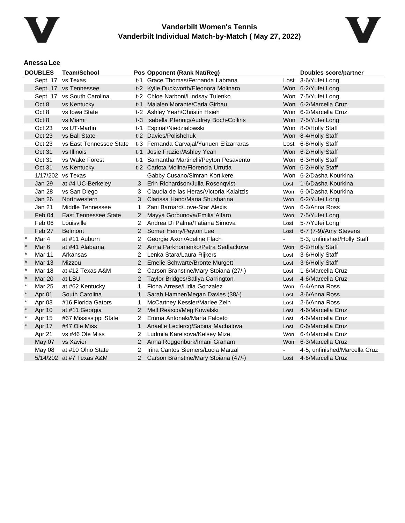



#### **Anessa Lee**

| <b>DOUBLES</b>    |                  | <b>Team/School</b>          |                | Pos Opponent (Rank Nat/Reg)              | <b>Doubles score/partner</b> |                               |
|-------------------|------------------|-----------------------------|----------------|------------------------------------------|------------------------------|-------------------------------|
| Sept. 17 vs Texas |                  |                             |                | t-1 Grace Thomas/Fernanda Labrana        |                              | Lost 3-6/Yufei Long           |
|                   |                  | Sept. 17 vs Tennessee       |                | t-2 Kylie Duckworth/Eleonora Molinaro    |                              | Won 6-2/Yufei Long            |
|                   |                  | Sept. 17 vs South Carolina  |                | t-2 Chloe Narboni/Lindsay Tulenko        |                              | Won 7-5/Yufei Long            |
|                   | Oct 8            | vs Kentucky                 |                | t-1 Maialen Morante/Carla Girbau         |                              | Won 6-2/Marcella Cruz         |
|                   | Oct 8            | vs Iowa State               |                | t-2 Ashley Yeah/Christin Hsieh           |                              | Won 6-2/Marcella Cruz         |
|                   | Oct 8            | vs Miami                    |                | t-3 Isabella Pfennig/Audrey Boch-Collins |                              | Won 7-5/Yufei Long            |
|                   | Oct 23           | vs UT-Martin                | t-1            | Espinal/Niedzialowski                    |                              | Won 8-0/Holly Staff           |
|                   | Oct 23           | vs Ball State               |                | t-2 Davies/Polishchuk                    |                              | Won 8-4/Holly Staff           |
|                   | Oct 23           | vs East Tennessee State     |                | t-3 Fernanda Carvajal/Yunuen Elizarraras |                              | Lost 6-8/Holly Staff          |
|                   | Oct 31           | vs Illinois                 |                | t-1 Josie Frazier/Ashley Yeah            |                              | Won 6-2/Holly Staff           |
|                   | Oct 31           | vs Wake Forest              |                | t-1 Samantha Martinelli/Peyton Pesavento |                              | Won 6-3/Holly Staff           |
|                   | Oct 31           | vs Kentucky                 |                | t-2 Carlota Molina/Florencia Urrutia     |                              | Won 6-2/Holly Staff           |
|                   |                  | 1/17/202 vs Texas           |                | Gabby Cusano/Simran Kortikere            |                              | Won 6-2/Dasha Kourkina        |
|                   | Jan 29           | at #4 UC-Berkeley           | 3.             | Erin Richardson/Julia Rosenqvist         | Lost                         | 1-6/Dasha Kourkina            |
|                   | Jan 28           | vs San Diego                | 3              | Claudia de las Heras/Victoria Kalaitzis  | Won                          | 6-0/Dasha Kourkina            |
|                   | Jan 26           | Northwestern                | 3              | Clarissa Hand/Maria Shusharina           | Won                          | 6-2/Yufei Long                |
|                   | <b>Jan 21</b>    | Middle Tennessee            | 1              | Zani Barnard/Love-Star Alexis            | Won                          | 6-3/Anna Ross                 |
|                   | Feb 04           | <b>East Tennessee State</b> | $\overline{2}$ | Mayya Gorbunova/Emilia Alfaro            |                              | Won 7-5/Yufei Long            |
|                   | Feb 06           | Louisville                  | 2              | Andrea Di Palma/Tatiana Simova           | Lost                         | 5-7/Yufei Long                |
|                   | Feb 27           | <b>Belmont</b>              | $\mathbf{2}^-$ | Somer Henry/Peyton Lee                   | Lost                         | 6-7 (7-9)/Amy Stevens         |
| $\ast$            | Mar 4            | at #11 Auburn               | 2              | Georgie Axon/Adeline Flach               | $\blacksquare$               | 5-3, unfinished/Holly Staff   |
| $\pmb{\ast}$      | Mar <sub>6</sub> | at #41 Alabama              | $\mathbf{2}^-$ | Anna Parkhomenko/Petra Sedlackova        | Won                          | 6-2/Holly Staff               |
| $\ast$            | Mar 11           | Arkansas                    | 2              | Lenka Stara/Laura Rijkers                | Lost                         | 3-6/Holly Staff               |
| $\star$           | <b>Mar 13</b>    | Mizzou                      | $\overline{2}$ | Emelie Schwarte/Bronte Murgett           | Lost                         | 3-6/Holly Staff               |
| $\star$           | <b>Mar 18</b>    | at #12 Texas A&M            | 2              | Carson Branstine/Mary Stoiana (27/-)     | Lost                         | 1-6/Marcella Cruz             |
|                   | <b>Mar 20</b>    | at LSU                      | $\overline{2}$ | Taylor Bridges/Safiya Carrington         | Lost                         | 4-6/Marcella Cruz             |
| $\ast$            | Mar 25           | at #62 Kentucky             | 1              | Fiona Arrese/Lidia Gonzalez              | Won                          | 6-4/Anna Ross                 |
|                   | Apr 01           | South Carolina              | $\mathbf{1}$   | Sarah Hamner/Megan Davies (38/-)         | Lost                         | 3-6/Anna Ross                 |
| $\ast$            | Apr 03           | #16 Florida Gators          | 1              | McCartney Kessler/Marlee Zein            | Lost                         | 2-6/Anna Ross                 |
|                   | Apr 10           | at #11 Georgia              | $\overline{2}$ | Mell Reasco/Meg Kowalski                 |                              | Lost 4-6/Marcella Cruz        |
| $\ast$            | Apr 15           | #67 Mississippi State       | 2              | Emma Antonaki/Marta Falceto              | Lost                         | 4-6/Marcella Cruz             |
|                   | Apr 17           | #47 Ole Miss                | $\mathbf{1}$   | Anaelle Leclercq/Sabina Machalova        | Lost                         | 0-6/Marcella Cruz             |
|                   | Apr 21           | vs #46 Ole Miss             | 2              | Ludmila Kareisova/Kelsey Mize            | Won                          | 6-4/Marcella Cruz             |
|                   | May 07           | vs Xavier                   |                | 2 Anna Roggenburk/Imani Graham           |                              | Won 6-3/Marcella Cruz         |
|                   | May 08           | at #10 Ohio State           | 2              | Irina Cantos Siemers/Lucia Marzal        |                              | 4-5, unfinished/Marcella Cruz |
|                   |                  | 5/14/202 at #7 Texas A&M    | 2              | Carson Branstine/Mary Stoiana (47/-)     | Lost                         | 4-6/Marcella Cruz             |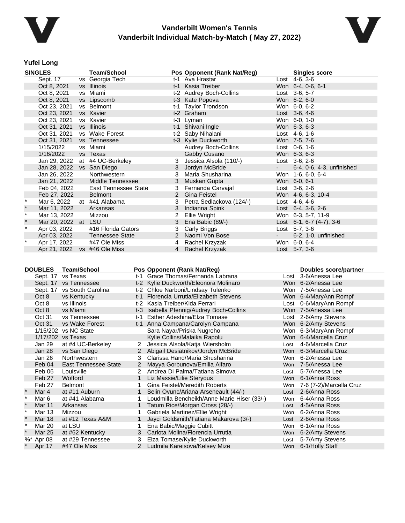



#### **Yufei Long**

|         | <b>SINGLES</b>            | <b>Team/School</b>             |                | Pos Opponent (Rank Nat/Reg) |                     | <b>Singles score</b>               |
|---------|---------------------------|--------------------------------|----------------|-----------------------------|---------------------|------------------------------------|
|         | Sept. 17                  | vs Georgia Tech                |                | t-1 Ava Hrastar             |                     | Lost 4-6, 3-6                      |
|         | Oct 8, 2021               | vs Illinois                    |                | t-1 Kasia Treiber           |                     | Won 6-4, 0-6, 6-1                  |
|         | Oct 8, 2021               | vs Miami                       |                | t-2 Audrey Boch-Collins     |                     | Lost 3-6, 5-7                      |
|         | Oct 8, 2021               | vs Lipscomb                    |                | t-3 Kate Popova             |                     | Won 6-2, 6-0                       |
|         | Oct 23, 2021              | vs Belmont                     |                | t-1 Taylor Trondson         |                     | Won 6-0, 6-2                       |
|         | Oct 23, 2021              | vs Xavier                      |                | t-2 Graham                  |                     | Lost 3-6, 4-6                      |
|         | Oct 23, 2021              | vs Xavier                      |                | t-3 Lyman                   |                     | Won 6-0, 1-0                       |
|         | Oct 31, 2021              | vs Illinois                    |                | t-1 Shivani Ingle           |                     | Won 6-3, 6-3                       |
|         | Oct 31, 2021              | vs Wake Forest                 |                | t-2 Saby Nihalani           |                     | Lost $4-6, 1-6$                    |
|         | Oct 31, 2021              | vs Tennessee                   |                | t-3 Kylie Duckworth         |                     | Won 7-5, 7-6                       |
|         | 1/15/2022                 | vs Miami                       |                | Audrey Boch-Collins         |                     | Lost $0-6, 1-6$                    |
|         | 1/16/2022                 | vs Texas                       |                | Gabby Cusano                |                     | Won 6-3, 6-3                       |
|         |                           | Jan 29, 2022 at #4 UC-Berkeley | 3              | Jessica Alsola (110/-)      |                     | Lost $3-6$ , $2-6$                 |
|         | Jan 28, 2022 vs San Diego |                                | 3              | Jordyn McBride              | $\sigma_{\rm{max}}$ | 6-4, 0-6, 4-3, unfinished          |
|         | Jan 26, 2022              | Northwestern                   | 3              | Maria Shusharina            |                     | Won 1-6, 6-0, 6-4                  |
|         | Jan 21, 2022              | Middle Tennessee               |                | 3 Muskan Gupta              |                     | Won 6-0, 6-1                       |
|         | Feb 04, 2022              | East Tennessee State           | 3              | Fernanda Carvajal           |                     | Lost $3-6, 2-6$                    |
|         | Feb 27, 2022              | <b>Belmont</b>                 |                | 2 Gina Feistel              |                     | Won 4-6, 6-3, 10-4                 |
|         | Mar 6, 2022               | at #41 Alabama                 |                | Petra Sedlackova (124/-)    |                     | Lost 4-6, 4-6                      |
| $\star$ | Mar 11, 2022              | Arkansas                       | 3              | Indianna Spink              |                     | Lost $6-4$ , $3-6$ , $2-6$         |
| $\star$ | Mar 13, 2022              | Mizzou                         | 2              | Ellie Wright                |                     | Won 6-3, 5-7, 11-9                 |
| $\ast$  | Mar 20, 2022 at LSU       |                                | 3              | Ena Babic (89/-)            |                     | Lost $6-1$ , $6-7$ $(4-7)$ , $3-6$ |
| $\ast$  | Apr 03, 2022              | #16 Florida Gators             | 3              | Carly Briggs                |                     | Lost 5-7, 3-6                      |
|         | Apr 03, 2022              | <b>Tennessee State</b>         |                | 2 Naomi Von Bose            |                     | 6-2, 1-0, unfinished               |
| $\star$ | Apr 17, 2022              | #47 Ole Miss                   | 4              | Rachel Krzyzak              |                     | Won 6-0, 6-4                       |
|         | Apr 21, 2022              | vs #46 Ole Miss                | $\overline{4}$ | Rachel Krzyzak              |                     | Lost 5-7, 3-6                      |

| <b>DOUBLES</b><br><b>Team/School</b> |           |                             |                      | Pos Opponent (Rank Nat/Reg)                 |      | <b>Doubles score/partner</b> |
|--------------------------------------|-----------|-----------------------------|----------------------|---------------------------------------------|------|------------------------------|
|                                      | Sept. 17  | vs Texas                    |                      | t-1 Grace Thomas/Fernanda Labrana           |      | Lost 3-6/Anessa Lee          |
|                                      |           | Sept. 17 vs Tennessee       |                      | t-2 Kylie Duckworth/Eleonora Molinaro       |      | Won 6-2/Anessa Lee           |
|                                      |           | Sept. 17 vs South Carolina  |                      | t-2 Chloe Narboni/Lindsay Tulenko           |      | Won 7-5/Anessa Lee           |
|                                      | Oct 8     | vs Kentucky                 |                      | t-1 Florencia Urrutia/Elizabeth Stevens     |      | Won 6-4/MaryAnn Rompf        |
|                                      | Oct 8     | vs Illinois                 |                      | t-2 Kasia Treiber/Kida Ferrari              |      | Lost 0-6/MaryAnn Rompf       |
|                                      | Oct 8     | vs Miami                    |                      | t-3 Isabella Pfennig/Audrey Boch-Collins    |      | Won 7-5/Anessa Lee           |
|                                      | Oct 31    | vs Tennessee                | t-1                  | Esther Adeshina/Elza Tomase                 |      | Lost 2-6/Amy Stevens         |
|                                      | Oct 31    | vs Wake Forest              |                      | t-1 Anna Campana/Carolyn Campana            |      | Won 6-2/Amy Stevens          |
|                                      |           | 1/15/202 vs NC State        |                      | Sara Nayar/Priska Nugroho                   |      | Won 6-3/MaryAnn Rompf        |
|                                      |           | 1/17/202 vs Texas           |                      | Kylie Collins/Malaika Rapolu                |      | Won 6-4/Marcella Cruz        |
|                                      | Jan 29    | at #4 UC-Berkeley           | $\mathbf{2}^{\circ}$ | Jessica Alsola/Katja Wiersholm              | Lost | 4-6/Marcella Cruz            |
|                                      | Jan 28    | vs San Diego                |                      | Abigail Desiatnikov/Jordyn McBride          | Won  | 6-3/Marcella Cruz            |
|                                      | Jan 26    | Northwestern                | 3                    | Clarissa Hand/Maria Shusharina              | Won  | 6-2/Anessa Lee               |
|                                      | Feb 04    | <b>East Tennessee State</b> | $\overline{2}$       | Mayya Gorbunova/Emilia Alfaro               |      | Won 7-5/Anessa Lee           |
|                                      | Feb 06    | Louisville                  |                      | Andrea Di Palma/Tatiana Simova              | Lost | 5-7/Anessa Lee               |
|                                      | Feb 27    | Wofford                     | 1                    | Liz Massie/Lilie Steryous                   | Won  | 6-1/Anna Ross                |
|                                      | Feb 27    | <b>Belmont</b>              |                      | Gina Feistel/Meredith Roberts               |      | Won 7-6 (7-2)/Marcella Cruz  |
|                                      | Mar 4     | at #11 Auburn               |                      | Selin Ovunc/Ariana Arseneault (44/-)        | Lost | 2-6/Anna Ross                |
| $\star$                              | Mar 6     | at #41 Alabama              |                      | Loudmilla Bencheikh/Anne Marie Hiser (33/-) | Won  | 6-4/Anna Ross                |
| $\star$                              | Mar 11    | Arkansas                    |                      | Tatum Rice/Morgan Cross (28/-)              |      | Lost 4-5/Anna Ross           |
| $\ast$                               | Mar 13    | Mizzou                      |                      | Gabriela Martinez/Ellie Wright              | Won  | 6-2/Anna Ross                |
|                                      | Mar 18    | at #12 Texas A&M            |                      | Jayci Goldsmith/Tatiana Makarova (3/-)      | Lost | 2-6/Anna Ross                |
| $\star$                              | Mar 20    | at LSU                      |                      | Ena Babic/Maggie Cubitt                     | Won  | 6-1/Anna Ross                |
| $\ast$                               | Mar 25    | at #62 Kentucky             | 3                    | Carlota Molina/Florencia Urrutia            | Won  | 6-2/Amy Stevens              |
|                                      | %* Apr 08 | at #29 Tennessee            | 3                    | Elza Tomase/Kylie Duckworth                 | Lost | 5-7/Amy Stevens              |
|                                      | Apr 17    | #47 Ole Miss                |                      | Ludmila Kareisova/Kelsey Mize               |      | Won 6-1/Holly Staff          |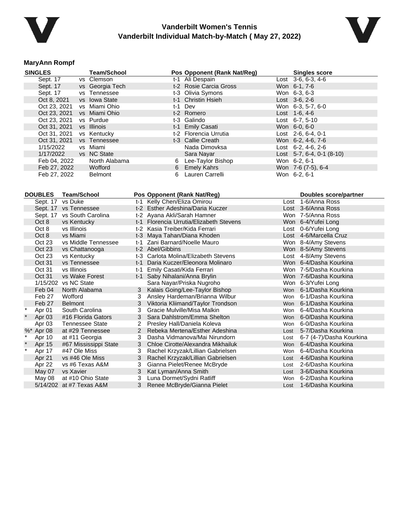



#### **MaryAnn Rompf**

| <b>SINGLES</b>    | <b>Team/School</b>         |                                | Pos Opponent (Rank Nat/Reg)             |      | <b>Singles score</b>      |
|-------------------|----------------------------|--------------------------------|-----------------------------------------|------|---------------------------|
| Sept. 17          | vs Clemson                 |                                | t-1 Ali Despain                         |      | Lost 3-6, 6-3, 4-6        |
| Sept. 17          | vs Georgia Tech            |                                | t-2 Rosie Carcia Gross                  |      | Won 6-1, 7-6              |
| Sept. 17          | vs Tennessee               |                                | t-3 Olivia Symons                       |      | Won 6-3, 6-3              |
| Oct 8, 2021       | vs Iowa State              |                                | t-1 Christin Hsieh                      |      | Lost 3-6, 2-6             |
| Oct 23, 2021      | vs Miami Ohio              |                                | t-1 Dev                                 |      | Won 6-3, 5-7, 6-0         |
| Oct 23, 2021      | vs Miami Ohio              |                                | t-2 Romero                              |      | Lost 1-6, 4-6             |
| Oct 23, 2021      | vs Purdue                  |                                | t-3 Galindo                             |      | Lost 6-7, 5-10            |
| Oct 31, 2021      | vs Illinois                |                                | t-1 Emily Casati                        |      | Won 6-0, 6-0              |
| Oct 31, 2021      | vs Kentucky                |                                | t-2 Florencia Urrutia                   |      | Lost 2-6, 6-4, 0-1        |
| Oct 31, 2021      | vs Tennessee               |                                | t-3 Callie Creath                       |      | Won 6-2, 4-6, 7-6         |
| 1/15/2022         | vs Miami                   |                                | Nada Dimovksa                           |      | Lost 6-2, 4-6, 2-6        |
| 1/17/2022         | vs NC State                |                                | Sara Nayar                              |      | Lost 5-7, 6-4, 0-1 (8-10) |
| Feb 04, 2022      | North Alabama              |                                | 6 Lee-Taylor Bishop                     |      | Won 6-2, 6-1              |
| Feb 27, 2022      | Wofford                    | 6                              | <b>Emely Kahrs</b>                      |      | Won 7-6 (7-5), 6-4        |
| Feb 27, 2022      | <b>Belmont</b>             | 6                              | Lauren Carrelli                         |      | Won 6-2, 6-1              |
|                   |                            |                                |                                         |      |                           |
|                   |                            |                                |                                         |      |                           |
| <b>DOUBLES</b>    | <b>Team/School</b>         | Pos Opponent (Rank Nat/Reg)    |                                         |      | Doubles score/partner     |
| Sept. 17 vs Duke  |                            | t-1 Kelly Chen/Eliza Omirou    |                                         |      | Lost 1-6/Anna Ross        |
|                   | Sept. 17 vs Tennessee      |                                | t-2 Esther Adeshina/Daria Kuczer        |      | Lost 3-6/Anna Ross        |
|                   | Sept. 17 vs South Carolina | t-2 Ayana Akli/Sarah Hamner    |                                         |      | Won 7-5/Anna Ross         |
| Oct 8             | vs Kentucky                |                                | t-1 Florencia Urrutia/Elizabeth Stevens |      | Won 6-4/Yufei Long        |
| Oct 8             | vs Illinois                | t-2 Kasia Treiber/Kida Ferrari |                                         |      | Lost 0-6/Yufei Long       |
| Oct 8             | vs Miami                   | t-3 Maya Tahan/Diana Khoden    |                                         |      | Lost 4-6/Marcella Cruz    |
| Oct 23            | vs Middle Tennessee        | t-1 Zani Barnard/Noelle Mauro  |                                         |      | Won 8-4/Amy Stevens       |
| Oct 23            | vs Chattanooga             | t-2 Abel/Gibbins               |                                         |      | Won 8-5/Amy Stevens       |
| Oct 23            | vs Kentucky                |                                | t-3 Carlota Molina/Elizabeth Stevens    |      | Lost 4-8/Amy Stevens      |
| Oct 31            | vs Tennessee               |                                | t-1 Daria Kuczer/Eleonora Molinaro      |      | Won 6-4/Dasha Kourkina    |
| Oct 31            | vs Illinois                | t-1 Emily Casati/Kida Ferrari  |                                         |      | Won 7-5/Dasha Kourkina    |
| Oct 31            | vs Wake Forest             | t-1 Saby Nihalani/Anna Brylin  |                                         |      | Won 7-6/Dasha Kourkina    |
|                   | 1/15/202 vs NC State       |                                | Sara Nayar/Priska Nugroho               |      | Won 6-3/Yufei Long        |
| Feb 04            | North Alabama              | 3                              | Kalais Going/Lee-Taylor Bishop          |      | Won 6-1/Dasha Kourkina    |
| Feb 27            | Wofford                    | 3                              | Ansley Hardeman/Brianna Wilbur          |      | Won 6-1/Dasha Kourkina    |
| Feb 27            | <b>Belmont</b>             | 3 <sup>1</sup>                 | Viktoria Kliimand/Taylor Trondson       |      | Won 6-1/Dasha Kourkina    |
| $\star$<br>Apr 01 | South Carolina             | 3                              | Gracie Mulville/Misa Malkin             |      | Won 6-4/Dasha Kourkina    |
| Apr 03            | #16 Florida Gators         | 3                              | Sara Dahlstrom/Emma Shelton             |      | Won 6-0/Dasha Kourkina    |
| Apr 03            | <b>Tennessee State</b>     | $\mathbf{2}$                   | Presley Hall/Daniela Koleva             |      | Won 6-0/Dasha Kourkina    |
| %* Apr 08         | at #29 Tennessee           | $\overline{2}$                 | Rebeka Mertena/Esther Adeshina          | Lost | 5-7/Dasha Kourkina        |
| Apr 10            | at #11 Georgia             | 3                              | Dasha Vidmanova/Mai Nirundorn           | Lost | 6-7 (4-7)/Dasha Kourkina  |
| Apr 15            | #67 Mississippi State      | 3                              | Chloe Cirotte/Alexandra Mikhailuk       | Won  | 6-4/Dasha Kourkina        |
| Apr 17            | #47 Ole Miss               | 3                              | Rachel Krzyzak/Lillian Gabrielsen       | Won  | 6-4/Dasha Kourkina        |
| Apr 21            | vs #46 Ole Miss            | 3                              | Rachel Krzyzak/Lillian Gabrielsen       | Lost | 4-6/Dasha Kourkina        |
| Apr 22            | vs #6 Texas A&M            | 3                              | Gianna Pielet/Renee McBryde             | Lost | 2-6/Dasha Kourkina        |
| May 07            | vs Xavier                  | 3<br>Kat Lyman/Anna Smith      |                                         | Lost | 3-6/Dasha Kourkina        |
| May 08            | at #10 Ohio State          | 3                              | Luna Dormet/Sydni Ratliff               | Won  | 6-2/Dasha Kourkina        |
|                   | 5/14/202 at #7 Texas A&M   | 3                              | Renee McBryde/Gianna Pielet             | Lost | 1-6/Dasha Kourkina        |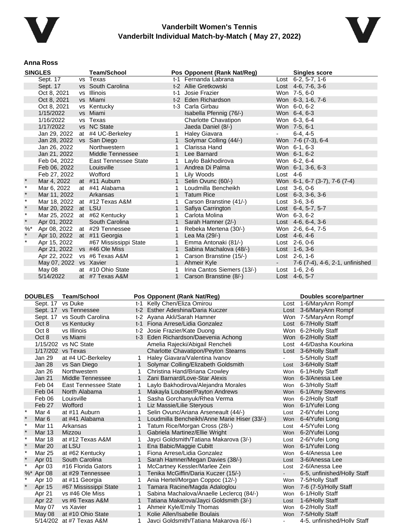



#### **Anna Ross**

| <b>SINGLES</b> |                             | <b>Team/School</b>            |             | Pos Opponent (Rank Nat/Reg) |            | <b>Singles score</b>            |
|----------------|-----------------------------|-------------------------------|-------------|-----------------------------|------------|---------------------------------|
|                | Sept. 17                    | vs Texas                      |             | t-1 Fernanda Labrana        |            | Lost 6-2, 5-7, 1-6              |
|                | Sept. 17                    | vs South Carolina             |             | t-2 Allie Gretkowski        |            | Lost $4-6$ , $7-6$ , $3-6$      |
|                | Oct 8, 2021                 | vs Illinois                   | $t-1$       | Josie Frazier               |            | Won 7-5, 6-0                    |
|                | Oct 8, 2021                 | vs Miami                      |             | t-2 Eden Richardson         |            | Won 6-3, 1-6, 7-6               |
|                | Oct 8, 2021                 | vs Kentucky                   |             | t-3 Carla Girbau            |            | Won 6-0, 6-2                    |
|                | 1/15/2022                   | vs Miami                      |             | Isabella Pfennig (76/-)     |            | Won 6-4, 6-3                    |
|                | 1/16/2022                   | vs Texas                      |             | Charlotte Chavatipon        |            | Won 6-3, 6-4                    |
|                | 1/17/2022                   | vs NC State                   |             | Jaeda Daniel (8/-)          |            | Won 7-5, 6-1                    |
|                | Jan 29, 2022                | at #4 UC-Berkeley             |             | <b>Haley Giavara</b>        |            | $6-4.4-5$                       |
|                | Jan 28, 2022 vs San Diego   |                               |             | Solymar Colling (44/-)      |            | Won 7-6 (7-3), 6-4              |
|                | Jan 26, 2022                | Northwestern                  |             | Clarissa Hand               |            | Won 6-1, 6-3                    |
|                | Jan 21, 2022                | Middle Tennessee              | 1           | Lee Barnard                 |            | Won 6-1, 6-2                    |
|                | Feb 04, 2022                | <b>East Tennessee State</b>   | 1           | Laylo Bakhodirova           |            | Won 6-2, 6-4                    |
|                | Feb 06, 2022                | Louisville                    |             | 1 Andrea Di Palma           |            | Won 6-1, 3-6, 6-3               |
|                | Feb 27, 2022                | Wofford                       | 1           | Lily Woods                  | Lost $4-6$ |                                 |
| $\star$        | Mar 4, 2022                 | at #11 Auburn                 |             | Selin Ovunc (60/-)          |            | Won 6-1, 6-7 (3-7), 7-6 (7-4)   |
| $\star$        | Mar 6, 2022                 | at #41 Alabama                |             | Loudmilla Bencheikh         |            | Lost 3-6, 0-6                   |
| $\star$        | Mar 11, 2022                | Arkansas                      |             | Tatum Rice                  |            | Lost $6-3$ , $3-6$ , $3-6$      |
| $\star$        |                             | Mar 18, 2022 at #12 Texas A&M |             | Carson Branstine (41/-)     |            | Lost 3-6, 3-6                   |
| $\star$        | Mar 20, 2022 at LSU         |                               | 1           | Safiya Carrington           |            | Lost 6-4, 5-7, 5-7              |
| $\star$        |                             | Mar 25, 2022 at #62 Kentucky  |             | Carlota Molina              |            | Won 6-3, 6-2                    |
| $\star$        | Apr 01, 2022                | South Carolina                |             | Sarah Hamner (2/-)          |            | Lost $4-6, 6-4, 3-6$            |
| $\%$ $*$       |                             | Apr 08, 2022 at #29 Tennessee |             | Rebeka Mertena (30/-)       |            | Won 2-6, 6-4, 7-5               |
| $\star$        | Apr 10, 2022 at #11 Georgia |                               |             | Lea Ma (29/-)               |            | Lost $4-6, 4-6$                 |
| $\star$        | Apr 15, 2022                | #67 Mississippi State         | 1           | Emma Antonaki (81/-)        |            | Lost 2-6, 0-6                   |
|                | Apr 21, 2022                | vs #46 Ole Miss               | 1           | Sabina Machalova (48/-)     |            | Lost 1-6, 3-6                   |
|                |                             | Apr 22, 2022 vs #6 Texas A&M  | 1           | Carson Branstine (15/-)     |            | Lost $2-6, 1-6$                 |
|                | May 07, 2022 vs Xavier      |                               | $\mathbf 1$ | Ahmeir Kyle                 | $\sim 100$ | 7-6 (7-4), 4-6, 2-1, unfinished |
|                | May 08                      | at #10 Ohio State             |             | Irina Cantos Siemers (13/-) |            | Lost 1-6, 2-6                   |
|                | 5/14/2022                   | at #7 Texas A&M               | 1           | Carson Branstine (8/-)      |            | Lost 4-6, 5-7                   |

| <b>DOUBLES</b><br><b>Team/School</b> |                         |                             |   | Pos Opponent (Rank Nat/Reg)                 |            | Doubles score/partner       |
|--------------------------------------|-------------------------|-----------------------------|---|---------------------------------------------|------------|-----------------------------|
| vs Duke<br>Sept. 17                  |                         |                             |   | t-1 Kelly Chen/Eliza Omirou                 | Lost       | 1-6/MaryAnn Rompf           |
|                                      | Sept. 17 vs Tennessee   |                             |   | t-2 Esther Adeshina/Daria Kuczer            |            | Lost 3-6/MaryAnn Rompf      |
|                                      |                         | Sept. 17 vs South Carolina  |   | t-2 Ayana Akli/Sarah Hamner                 |            | Won 7-5/MaryAnn Rompf       |
|                                      | Oct 8                   | vs Kentucky                 |   | t-1 Fiona Arrese/Lidia Gonzalez             |            | Lost 6-7/Holly Staff        |
|                                      | Oct 8                   | vs Illinois                 |   | t-2 Josie Frazier/Kate Duong                |            | Won 6-2/Holly Staff         |
|                                      | Oct 8                   | vs Miami                    |   | t-3 Eden Richardson/Daevenia Achong         |            | Won 6-2/Holly Staff         |
|                                      |                         | 1/15/202 vs NC State        |   | Amelia Rajecki/Abigail Rencheli             | Lost       | 4-6/Dasha Kourkina          |
|                                      |                         | 1/17/202 vs Texas           |   | <b>Charlotte Chavatipon/Peyton Stearns</b>  |            | Lost 3-6/Holly Staff        |
|                                      | Jan 29                  | at #4 UC-Berkeley           | 1 | Haley Giavara/Valentina Ivanov              |            | 5-5/Holly Staff             |
|                                      | Jan 28                  | vs San Diego                |   | Solymar Colling/Elizabeth Goldsmith         | Lost       | 3-6/Holly Staff             |
|                                      | Jan 26                  | Northwestern                |   | Christina Hand/Briana Crowley               | Won        | 6-1/Holly Staff             |
|                                      | <b>Jan 21</b>           | Middle Tennessee            | 1 | Zani Barnard/Love-Star Alexis               | <b>Won</b> | 6-3/Anessa Lee              |
|                                      | Feb 04                  | <b>East Tennessee State</b> |   | Laylo Bakhodirova/Alejandra Morales         | Won        | 6-3/Holly Staff             |
|                                      | Feb 04                  | North Alabama               | 1 | Makayla Loubser/Payton Andrews              | Won        | 6-1/Amy Stevens             |
|                                      | Feb 06                  | Louisville                  |   | Sasha Gorchanyuk/Rhea Verma                 | Won        | 6-2/Holly Staff             |
|                                      | Feb 27                  | Wofford                     | 1 | Liz Massie/Lilie Steryous                   | Won        | 6-1/Yufei Long              |
|                                      | Mar 4                   | at #11 Auburn               | 1 | Selin Ovunc/Ariana Arseneault (44/-)        | Lost       | 2-6/Yufei Long              |
|                                      | Mar 6                   | at #41 Alabama              |   | Loudmilla Bencheikh/Anne Marie Hiser (33/-) | Won        | 6-4/Yufei Long              |
|                                      | $\ast$<br><b>Mar 11</b> | Arkansas                    | 1 | Tatum Rice/Morgan Cross (28/-)              | Lost       | 4-5/Yufei Long              |
|                                      | Mar 13                  | Mizzou                      |   | Gabriela Martinez/Ellie Wright              | Won        | 6-2/Yufei Long              |
|                                      | $\ast$<br>Mar 18        | at #12 Texas A&M            | 1 | Jayci Goldsmith/Tatiana Makarova (3/-)      | Lost       | 2-6/Yufei Long              |
|                                      | <b>Mar 20</b>           | at LSU                      | 1 | Ena Babic/Maggie Cubitt                     | Won        | 6-1/Yufei Long              |
|                                      | <b>Mar 25</b>           | at #62 Kentucky             | 1 | Fiona Arrese/Lidia Gonzalez                 | Won        | 6-4/Anessa Lee              |
|                                      | Apr 01                  | South Carolina              |   | Sarah Hamner/Megan Davies (38/-)            | Lost       | 3-6/Anessa Lee              |
|                                      | Apr 03                  | #16 Florida Gators          | 1 | McCartney Kessler/Marlee Zein               | Lost       | 2-6/Anessa Lee              |
|                                      | %* Apr 08               | at #29 Tennessee            |   | Tenika McGiffin/Daria Kuczer (15/-)         | $\sim$     | 6-5, unfinished/Holly Staff |
|                                      | Apr 10                  | at #11 Georgia              | 1 | Ania Hertel/Morgan Coppoc (12/-)            | Won        | 7-5/Holly Staff             |
|                                      | Apr 15                  | #67 Mississippi State       |   | Tamara Racine/Magda Adaloglou               | Won        | 7-6 (7-5)/Holly Staff       |
|                                      | Apr 21                  | vs #46 Ole Miss             | 1 | Sabina Machalova/Anaelle Leclercq (84/-)    | Won        | 6-1/Holly Staff             |
|                                      | Apr 22                  | vs #6 Texas A&M             | 1 | Tatiana Makarova/Jayci Goldsmith (3/-)      | Lost       | 1-6/Holly Staff             |
|                                      | May 07                  | vs Xavier                   | 1 | Ahmeir Kyle/Emily Thomas                    | Won        | 6-2/Holly Staff             |
|                                      | May 08                  | at #10 Ohio State           |   | Kolie Allen/Isabelle Boulais                | Won        | 7-5/Holly Staff             |
|                                      |                         | $5/14/202$ at #7 Texas A&M  |   | Javci Goldsmith/Tatiana Makarova (6/-)      |            | 4-5 unfinished/Holly Staff  |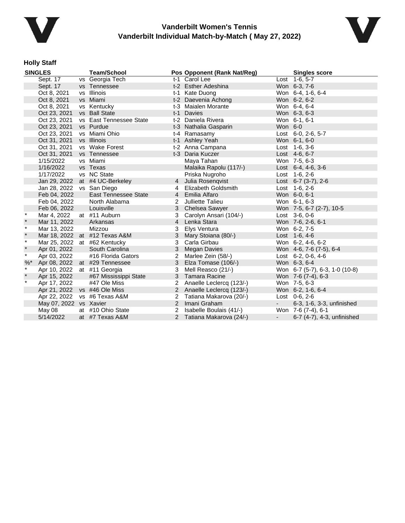



# **Holly Staff**

| <b>SINGLES</b> |                              | <b>Team/School</b>             |                | Pos Opponent (Rank Nat/Reg) |            | <b>Singles score</b>           |  |
|----------------|------------------------------|--------------------------------|----------------|-----------------------------|------------|--------------------------------|--|
| Sept. 17       |                              | vs Georgia Tech                |                | t-1 Carol Lee               |            | Lost 1-6, 5-7                  |  |
|                | Sept. 17                     | vs Tennessee                   |                | t-2 Esther Adeshina         |            | Won 6-3, 7-6                   |  |
|                | Oct 8, 2021                  | vs Illinois                    |                | t-1 Kate Duong              |            | Won 6-4, 1-6, 6-4              |  |
|                | Oct 8, 2021                  | vs Miami                       |                | t-2 Daevenia Achong         |            | Won 6-2, 6-2                   |  |
|                | Oct 8, 2021                  | vs Kentucky                    |                | t-3 Maialen Morante         |            | Won 6-4, 6-4                   |  |
|                | Oct 23, 2021                 | vs Ball State                  |                | t-1 Davies                  |            | Won 6-3, 6-3                   |  |
|                | Oct 23, 2021                 | vs East Tennessee State        |                | t-2 Daniela Rivera          |            | Won 6-1, 6-1                   |  |
|                | Oct 23, 2021                 | vs Purdue                      |                | t-3 Nathalia Gasparin       | Won 6-0    |                                |  |
|                | Oct 23, 2021                 | vs Miami Ohio                  |                | t-4 Ramasamy                |            | Lost 6-0, 2-6, 5-7             |  |
|                | Oct 31, 2021                 | vs Illinois                    |                | t-1 Ashley Yeah             |            | Won 6-1, 6-0                   |  |
|                | Oct 31, 2021                 | vs Wake Forest                 |                | t-2 Anna Campana            |            | Lost 1-6, 3-6                  |  |
|                | Oct 31, 2021                 | vs Tennessee                   |                | t-3 Daria Kuczer            |            | Lost 4-6, 6-7                  |  |
|                | 1/15/2022                    | vs Miami                       |                | Maya Tahan                  |            | Won 7-5, 6-3                   |  |
|                | 1/16/2022                    | vs Texas                       |                | Malaika Rapolu (117/-)      |            | Lost $6-4, 4-6, 3-6$           |  |
|                | 1/17/2022                    | vs NC State                    |                | Priska Nugroho              |            | Lost $1-6, 2-6$                |  |
|                |                              | Jan 29, 2022 at #4 UC-Berkeley | 4              | Julia Rosenqvist            |            | Lost $6-7$ (3-7), 2-6          |  |
|                | Jan 28, 2022                 | vs San Diego                   | 4              | Elizabeth Goldsmith         |            | Lost 1-6, 2-6                  |  |
|                | Feb 04, 2022                 | <b>East Tennessee State</b>    |                | 4 Emilia Alfaro             |            | Won 6-0, 6-1                   |  |
|                | Feb 04, 2022                 | North Alabama                  |                | 2 Julliette Talieu          |            | Won 6-1, 6-3                   |  |
|                | Feb 06, 2022                 | Louisville                     |                | 3 Chelsea Sawyer            |            | Won 7-5, 6-7 (2-7), 10-5       |  |
| $\ast$         | Mar 4, 2022                  | at #11 Auburn                  | 3              | Carolyn Ansari (104/-)      |            | Lost $3-6, 0-6$                |  |
| $\star$        | Mar 11, 2022                 | Arkansas                       | $\overline{4}$ | Lenka Stara                 |            | Won 7-6, 2-6, 6-1              |  |
| $\pmb{\star}$  | Mar 13, 2022                 | Mizzou                         | 3              | Elys Ventura                |            | Won 6-2, 7-5                   |  |
| $\star$        |                              | Mar 18, 2022 at #12 Texas A&M  | 3              | Mary Stoiana (80/-)         |            | Lost 1-6, 4-6                  |  |
| $\star$        |                              | Mar 25, 2022 at #62 Kentucky   | 3              | Carla Girbau                |            | Won 6-2, 4-6, 6-2              |  |
| $\star$        | Apr 01, 2022                 | South Carolina                 | 3              | Megan Davies                |            | Won 4-6, 7-6 (7-5), 6-4        |  |
| $\star$        | Apr 03, 2022                 | #16 Florida Gators             | $\overline{2}$ | Marlee Zein (58/-)          |            | Lost $6-2, 0-6, 4-6$           |  |
| $%$ *          |                              | Apr 08, 2022 at #29 Tennessee  |                | 3 Elza Tomase (106/-)       |            | Won 6-3, 6-4                   |  |
| $\star$        | Apr 10, 2022 at #11 Georgia  |                                | 3              | Mell Reasco (21/-)          |            | Won 6-7 (5-7), 6-3, 1-0 (10-8) |  |
| $\star$        | Apr 15, 2022                 | #67 Mississippi State          |                | 3 Tamara Racine             |            | Won 7-6 (7-4), 6-3             |  |
| $\star$        | Apr 17, 2022                 | #47 Ole Miss                   | 2              | Anaelle Leclercq (123/-)    |            | Won 7-5, 6-3                   |  |
|                | Apr 21, 2022 vs #46 Ole Miss |                                |                | 2 Anaelle Leclercq (123/-)  |            | Won 6-2, 1-6, 6-4              |  |
|                |                              | Apr 22, 2022 vs #6 Texas A&M   | 2              | Tatiana Makarova (20/-)     |            | Lost $0-6$ , $2-6$             |  |
|                | May 07, 2022 vs Xavier       |                                |                | 2 Imani Graham              | $\sim 100$ | 6-3, 1-6, 3-3, unfinished      |  |
|                | May 08                       | at #10 Ohio State              | 2              | Isabelle Boulais (41/-)     |            | Won 7-6 (7-4), 6-1             |  |
|                | 5/14/2022                    | at #7 Texas A&M                | $\mathcal{P}$  | Tatiana Makarova (24/-)     |            | 6-7 (4-7), 4-3, unfinished     |  |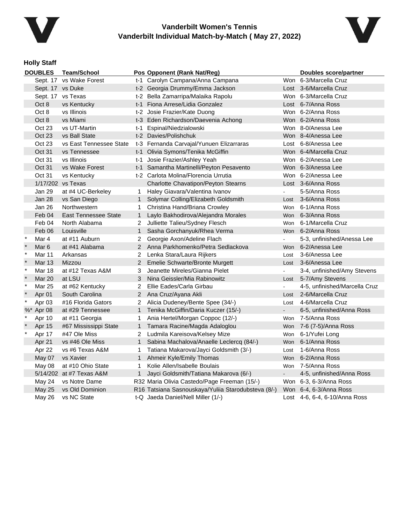



### **Holly Staff**

|         | <b>DOUBLES</b>          | <b>Team/School</b>          |                | Pos Opponent (Rank Nat/Reg)                         |                | <b>Doubles score/partner</b>  |
|---------|-------------------------|-----------------------------|----------------|-----------------------------------------------------|----------------|-------------------------------|
|         | Sept. 17 vs Wake Forest |                             |                | t-1 Carolyn Campana/Anna Campana                    |                | Won 6-3/Marcella Cruz         |
|         | Sept. 17 vs Duke        |                             |                | t-2 Georgia Drummy/Emma Jackson                     |                | Lost 3-6/Marcella Cruz        |
|         |                         | Sept. 17 vs Texas           |                | t-2 Bella Zamarripa/Malaika Rapolu                  |                | Won 6-3/Marcella Cruz         |
|         | Oct 8                   | vs Kentucky                 |                | t-1 Fiona Arrese/Lidia Gonzalez                     |                | Lost 6-7/Anna Ross            |
|         | Oct 8                   | vs Illinois                 |                | t-2 Josie Frazier/Kate Duong                        |                | Won 6-2/Anna Ross             |
|         | Oct 8                   | vs Miami                    |                | t-3 Eden Richardson/Daevenia Achong                 |                | Won 6-2/Anna Ross             |
|         | Oct 23                  | vs UT-Martin                |                | t-1 Espinal/Niedzialowski                           |                | Won 8-0/Anessa Lee            |
|         | Oct 23                  | vs Ball State               |                | t-2 Davies/Polishchuk                               |                | Won 8-4/Anessa Lee            |
|         | Oct 23                  | vs East Tennessee State     |                | t-3 Fernanda Carvajal/Yunuen Elizarraras            |                | Lost 6-8/Anessa Lee           |
|         | <b>Oct 31</b>           | vs Tennessee                |                | t-1 Olivia Symons/Tenika McGiffin                   |                | Won 6-4/Marcella Cruz         |
|         | Oct 31                  | vs Illinois                 |                | t-1 Josie Frazier/Ashley Yeah                       |                | Won 6-2/Anessa Lee            |
|         | Oct 31                  | vs Wake Forest              |                | t-1 Samantha Martinelli/Peyton Pesavento            |                | Won 6-3/Anessa Lee            |
|         | Oct 31                  | vs Kentucky                 |                | t-2 Carlota Molina/Florencia Urrutia                |                | Won 6-2/Anessa Lee            |
|         |                         | 1/17/202 vs Texas           |                | <b>Charlotte Chavatipon/Peyton Stearns</b>          |                | Lost 3-6/Anna Ross            |
|         | Jan 29                  | at #4 UC-Berkeley           | $\mathbf{1}$   | Haley Giavara/Valentina Ivanov                      |                | 5-5/Anna Ross                 |
|         | <b>Jan 28</b>           | vs San Diego                | $\mathbf{1}$   | Solymar Colling/Elizabeth Goldsmith                 | Lost           | 3-6/Anna Ross                 |
|         | Jan 26                  | Northwestern                | $\mathbf 1$    | Christina Hand/Briana Crowley                       | Won            | 6-1/Anna Ross                 |
|         | Feb 04                  | <b>East Tennessee State</b> | $\mathbf{1}$   | Laylo Bakhodirova/Alejandra Morales                 |                | Won 6-3/Anna Ross             |
|         | Feb 04                  | North Alabama               | 2              | Julliette Talieu/Sydney Flesch                      | <b>Won</b>     | 6-1/Marcella Cruz             |
|         | Feb 06                  | Louisville                  | $\mathbf{1}$   | Sasha Gorchanyuk/Rhea Verma                         |                | Won 6-2/Anna Ross             |
| $\ast$  | Mar 4                   | at #11 Auburn               | $\overline{2}$ | Georgie Axon/Adeline Flach                          |                | 5-3, unfinished/Anessa Lee    |
| $\star$ | Mar 6                   | at #41 Alabama              | $2^{\circ}$    | Anna Parkhomenko/Petra Sedlackova                   | Won            | 6-2/Anessa Lee                |
| $\ast$  | Mar 11                  | Arkansas                    | 2              | Lenka Stara/Laura Rijkers                           | Lost           | 3-6/Anessa Lee                |
| $\star$ | <b>Mar 13</b>           | Mizzou                      | $\overline{2}$ | Emelie Schwarte/Bronte Murgett                      | Lost           | 3-6/Anessa Lee                |
| $\star$ | Mar 18                  | at #12 Texas A&M            | 3              | Jeanette Mireles/Gianna Pielet                      |                | 3-4, unfinished/Amy Stevens   |
| $\star$ | Mar 20                  | at LSU                      | 3              | Nina Geissler/Mia Rabinowitz                        | Lost           | 5-7/Amy Stevens               |
| $\star$ | <b>Mar 25</b>           | at #62 Kentucky             | $\overline{2}$ | Ellie Eades/Carla Girbau                            |                | 4-5, unfinished/Marcella Cruz |
| $\star$ | Apr 01                  | South Carolina              | $\overline{2}$ | Ana Cruz/Ayana Akli                                 | Lost           | 2-6/Marcella Cruz             |
| $\star$ | Apr 03                  | #16 Florida Gators          | 2              | Alicia Dudeney/Bente Spee (34/-)                    | Lost           | 4-6/Marcella Cruz             |
|         | %* Apr 08               | at #29 Tennessee            | $\mathbf{1}$   | Tenika McGiffin/Daria Kuczer (15/-)                 | $\blacksquare$ | 6-5, unfinished/Anna Ross     |
| $\star$ | Apr 10                  | at #11 Georgia              | 1              | Ania Hertel/Morgan Coppoc (12/-)                    |                | Won 7-5/Anna Ross             |
|         | Apr 15                  | #67 Mississippi State       | $\mathbf{1}$   | Tamara Racine/Magda Adaloglou                       | Won            | 7-6 (7-5)/Anna Ross           |
| $\star$ | Apr 17                  | #47 Ole Miss                | $\overline{2}$ | Ludmila Kareisova/Kelsey Mize                       | Won            | 6-1/Yufei Long                |
|         | Apr 21                  | vs #46 Ole Miss             | $\mathbf{1}$   | Sabina Machalova/Anaelle Leclercq (84/-)            |                | Won 6-1/Anna Ross             |
|         | Apr 22                  | vs #6 Texas A&M             | 1              | Tatiana Makarova/Jayci Goldsmith (3/-)              | Lost           | 1-6/Anna Ross                 |
|         | May 07                  | vs Xavier                   | $\mathbf{1}$   | Ahmeir Kyle/Emily Thomas                            | Won            | 6-2/Anna Ross                 |
|         | May 08                  | at #10 Ohio State           | 1.             | Kolie Allen/Isabelle Boulais                        |                | Won 7-5/Anna Ross             |
|         |                         | 5/14/202 at #7 Texas A&M    | $\mathbf{1}$   | Jayci Goldsmith/Tatiana Makarova (6/-)              |                | 4-5, unfinished/Anna Ross     |
|         | May 24                  | vs Notre Dame               |                | R32 Maria Olivia Castedo/Page Freeman (15/-)        |                | Won 6-3, 6-3/Anna Ross        |
|         | May 25                  | vs Old Dominion             |                | R16 Tatsiana Sasnouskaya/Yuliia Starodubsteva (8/-) |                | Won 6-4, 6-3/Anna Ross        |
|         | May 26                  | vs NC State                 |                | t-Q Jaeda Daniel/Nell Miller (1/-)                  |                | Lost 4-6, 6-4, 6-10/Anna Ross |